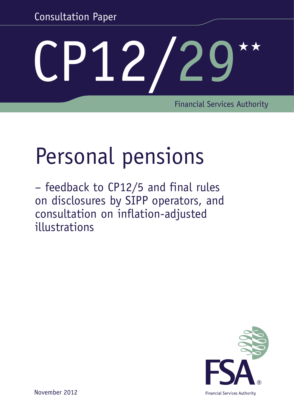Consultation Paper

# CP12/29

Financial Services Authority

## Personal pensions

– feedback to CP12/5 and final rules on disclosures by SIPP operators, and consultation on inflation-adjusted illustrations



November 2012

**Financial Services Authority**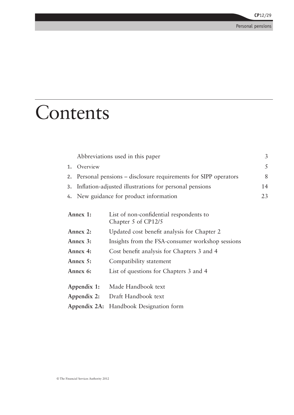## Contents

|             | Abbreviations used in this paper                                  |                                                                |  |
|-------------|-------------------------------------------------------------------|----------------------------------------------------------------|--|
| 1.          | Overview                                                          |                                                                |  |
|             | 2. Personal pensions – disclosure requirements for SIPP operators |                                                                |  |
|             | 3. Inflation-adjusted illustrations for personal pensions         |                                                                |  |
|             | 4. New guidance for product information                           |                                                                |  |
|             | Annex 1:                                                          | List of non-confidential respondents to<br>Chapter 5 of CP12/5 |  |
| Annex 2:    |                                                                   | Updated cost benefit analysis for Chapter 2                    |  |
| Annex 3:    |                                                                   | Insights from the FSA-consumer workshop sessions               |  |
| Annex 4:    |                                                                   | Cost benefit analysis for Chapters 3 and 4                     |  |
| Annex 5:    |                                                                   | Compatibility statement                                        |  |
| Annex 6:    |                                                                   | List of questions for Chapters 3 and 4                         |  |
| Appendix 1: |                                                                   | Made Handbook text                                             |  |
| Appendix 2: |                                                                   | Draft Handbook text                                            |  |
|             |                                                                   | Appendix 2A: Handbook Designation form                         |  |
|             |                                                                   |                                                                |  |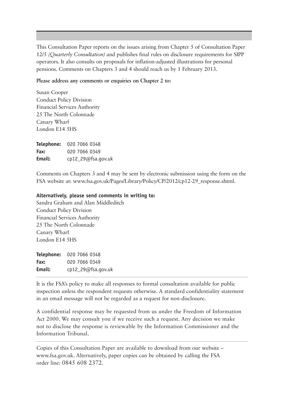This Consultation Paper reports on the issues arising from Chapter 5 of Consultation Paper 12/5 *(Quarterly Consultation)* and publishes final rules on disclosure requirements for SIPP operators. It also consults on proposals for inflation-adjusted illustrations for personal pensions. Comments on Chapters 3 and 4 should reach us by 1 February 2013.

#### **Please address any comments or enquiries on Chapter 2 to:**

Susan Cooper Conduct Policy Division Financial Services Authority 25 The North Colonnade Canary Wharf London E14 5HS

| Telephone: | 020 7066 0348      |
|------------|--------------------|
| Fax:       | 020 7066 0349      |
| Email:     | cp12_29@fsa.gov.uk |

Comments on Chapters 3 and 4 may be sent by electronic submission using the form on the FSA website at: [www.fsa.gov.uk/Pages/Library/Policy/CP/2012/cp12-29\\_response.shtml](http://www.fsa.gov.uk/Pages/Library/Policy/CP/2012/cp12-29_response.shtml).

#### **Alternatively, please send comments in writing to:**

Sandra Graham and Alan Middleditch Conduct Policy Division Financial Services Authority 25 The North Colonnade Canary Wharf London E14 5HS

**Telephone:** 020 7066 0348 **Fax:** 020 7066 0349 **Email:** [cp12\\_29@fsa.gov.uk](mailto:mailto:cp12_29%40fsa.gov.uk?subject=)

It is the FSA's policy to make all responses to formal consultation available for public inspection unless the respondent requests otherwise. A standard confidentiality statement in an email message will not be regarded as a request for non-disclosure.

A confidential response may be requested from us under the Freedom of Information Act 2000. We may consult you if we receive such a request. Any decision we make not to disclose the response is reviewable by the Information Commissioner and the Information Tribunal.

Copies of this Consultation Paper are available to download from our website – [www.fsa.gov.uk.](www.fsa.gov.uk) Alternatively, paper copies can be obtained by calling the FSA order line: 0845 608 2372.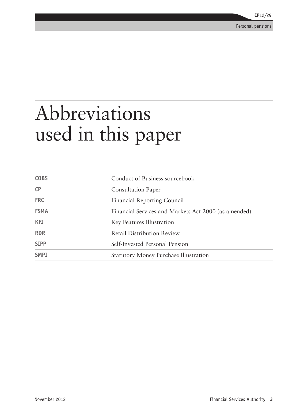## <span id="page-4-0"></span>Abbreviations used in this paper

| <b>COBS</b> | Conduct of Business sourcebook                       |
|-------------|------------------------------------------------------|
| CP          | <b>Consultation Paper</b>                            |
| <b>FRC</b>  | <b>Financial Reporting Council</b>                   |
| <b>FSMA</b> | Financial Services and Markets Act 2000 (as amended) |
| <b>KFI</b>  | Key Features Illustration                            |
| <b>RDR</b>  | <b>Retail Distribution Review</b>                    |
| <b>SIPP</b> | Self-Invested Personal Pension                       |
| <b>SMPI</b> | <b>Statutory Money Purchase Illustration</b>         |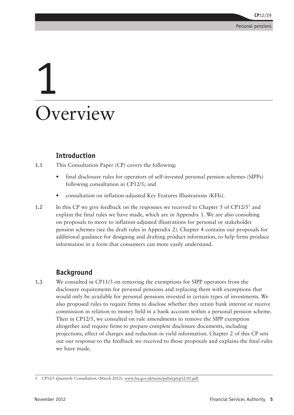## <span id="page-6-0"></span>1 **Overview**

#### **Introduction**

- **1.1** This Consultation Paper (CP) covers the following:
	- final disclosure rules for operators of self-invested personal pension schemes (SIPPs) following consultation in CP12/5; and
	- consultation on inflation-adjusted Key Features Illustrations (KFIs).
- **1.2** In this CP we give feedback on the responses we received to Chapter 5 of CP12/5<sup>1</sup> and explain the final rules we have made, which are in Appendix 1. We are also consulting on proposals to move to inflation-adjusted illustrations for personal or stakeholder pension schemes (see the draft rules in Appendix 2). Chapter 4 contains our proposals for additional guidance for designing and drafting product information, to help firms produce information in a form that consumers can more easily understand.

#### **Background**

**1.3** We consulted in CP11/3 on removing the exemptions for SIPP operators from the disclosure requirements for personal pensions and replacing them with exemptions that would only be available for personal pensions invested in certain types of investments. We also proposed rules to require firms to disclose whether they retain bank interest or receive commission in relation to money held in a bank account within a personal pension scheme. Then in CP12/5, we consulted on rule amendments to remove the SIPP exemption altogether and require firms to prepare complete disclosure documents, including projections, effect of charges and reduction in yield information. Chapter 2 of this CP sets out our response to the feedback we received to those proposals and explains the final rules we have made.

<sup>1</sup> CP12/5 *Quarterly Consultation*, (March 2012): [www.fsa.gov.uk/static/pubs/cp/cp12-05.pdf](http://www.fsa.gov.uk/static/pubs/cp/cp12-05.pdf)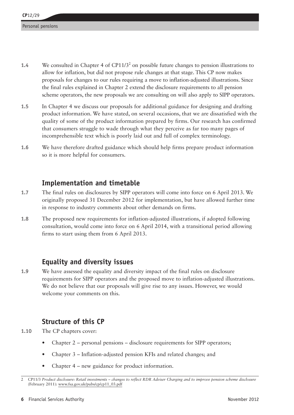- 1.4 We consulted in Chapter 4 of CP11/3<sup>2</sup> on possible future changes to pension illustrations to allow for inflation, but did not propose rule changes at that stage. This CP now makes proposals for changes to our rules requiring a move to inflation-adjusted illustrations. Since the final rules explained in Chapter 2 extend the disclosure requirements to all pension scheme operators, the new proposals we are consulting on will also apply to SIPP operators.
- **1.5** In Chapter 4 we discuss our proposals for additional guidance for designing and drafting product information. We have stated, on several occasions, that we are dissatisfied with the quality of some of the product information prepared by firms. Our research has confirmed that consumers struggle to wade through what they perceive as far too many pages of incomprehensible text which is poorly laid out and full of complex terminology.
- **1.6** We have therefore drafted guidance which should help firms prepare product information so it is more helpful for consumers.

#### **Implementation and timetable**

- **1.7** The final rules on disclosures by SIPP operators will come into force on 6 April 2013. We originally proposed 31 December 2012 for implementation, but have allowed further time in response to industry comments about other demands on firms.
- **1.8** The proposed new requirements for inflation-adjusted illustrations, if adopted following consultation, would come into force on 6 April 2014, with a transitional period allowing firms to start using them from 6 April 2013.

#### **Equality and diversity issues**

**1.9** We have assessed the equality and diversity impact of the final rules on disclosure requirements for SIPP operators and the proposed move to inflation-adjusted illustrations. We do not believe that our proposals will give rise to any issues. However, we would welcome your comments on this.

#### **Structure of this CP**

- **1.10** The CP chapters cover:
	- Chapter  $2$  personal pensions disclosure requirements for SIPP operators;
	- Chapter 3 Inflation-adjusted pension KFIs and related changes; and
	- Chapter 4 new guidance for product information.

<sup>2</sup> CP11/3 *Product disclosure: Retail investments – changes to reflect RDR Adviser Charging and to improve pension scheme disclosure* (February 2011): www.fsa.gov.uk/pubs/cp/cp11\_03.pdf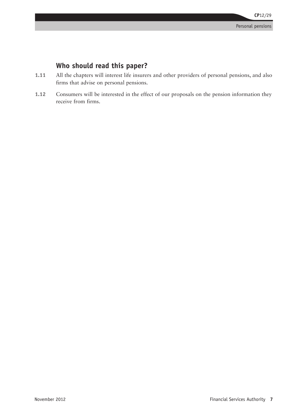#### **Who should read this paper?**

- **1.11** All the chapters will interest life insurers and other providers of personal pensions, and also firms that advise on personal pensions.
- **1.12** Consumers will be interested in the effect of our proposals on the pension information they receive from firms.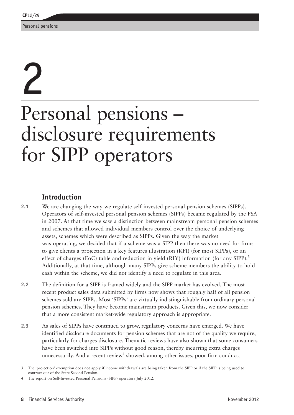## 2

## Personal pensions – disclosure requirements for SIPP operators

#### **Introduction**

**2.1** We are changing the way we regulate self-invested personal pension schemes (SIPPs). Operators of self-invested personal pension schemes (SIPPs) became regulated by the FSA in 2007. At that time we saw a distinction between mainstream personal pension schemes and schemes that allowed individual members control over the choice of underlying assets, schemes which were described as SIPPs. Given the way the market was operating, we decided that if a scheme was a SIPP then there was no need for firms to give clients a projection in a key features illustration (KFI) (for most SIPPs), or an effect of charges (EoC) table and reduction in yield (RIY) information (for any SIPP).<sup>3</sup> Additionally, at that time, although many SIPPs give scheme members the ability to hold cash within the scheme, we did not identify a need to regulate in this area.

- **2.2** The definition for a SIPP is framed widely and the SIPP market has evolved. The most recent product sales data submitted by firms now shows that roughly half of all pension schemes sold are SIPPs. Most 'SIPPs' are virtually indistinguishable from ordinary personal pension schemes. They have become mainstream products. Given this, we now consider that a more consistent market-wide regulatory approach is appropriate.
- **2.3** As sales of SIPPs have continued to grow, regulatory concerns have emerged. We have identified disclosure documents for pension schemes that are not of the quality we require, particularly for charges disclosure. Thematic reviews have also shown that some consumers have been switched into SIPPs without good reason, thereby incurring extra charges unnecessarily. And a recent review<sup>4</sup> showed, among other issues, poor firm conduct,

<sup>3</sup> The 'projection' exemption does not apply if income withdrawals are being taken from the SIPP or if the SIPP is being used to contract out of the State Second Pension.

The report on Self-Invested Personal Pensions (SIPP) operators July 2012.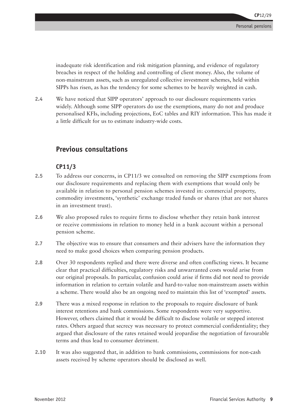inadequate risk identification and risk mitigation planning, and evidence of regulatory breaches in respect of the holding and controlling of client money. Also, the volume of non-mainstream assets, such as unregulated collective investment schemes, held within SIPPs has risen, as has the tendency for some schemes to be heavily weighted in cash.

**2.4** We have noticed that SIPP operators' approach to our disclosure requirements varies widely. Although some SIPP operators do use the exemptions, many do not and produce personalised KFIs, including projections, EoC tables and RIY information. This has made it a little difficult for us to estimate industry-wide costs.

#### **Previous consultations**

#### **CP11/3**

- **2.5** To address our concerns, in CP11/3 we consulted on removing the SIPP exemptions from our disclosure requirements and replacing them with exemptions that would only be available in relation to personal pension schemes invested in: commercial property, commodity investments, 'synthetic' exchange traded funds or shares (that are not shares in an investment trust).
- **2.6** We also proposed rules to require firms to disclose whether they retain bank interest or receive commissions in relation to money held in a bank account within a personal pension scheme.
- **2.7** The objective was to ensure that consumers and their advisers have the information they need to make good choices when comparing pension products.
- **2.8** Over 30 respondents replied and there were diverse and often conflicting views. It became clear that practical difficulties, regulatory risks and unwarranted costs would arise from our original proposals. In particular, confusion could arise if firms did not need to provide information in relation to certain volatile and hard-to-value non-mainstream assets within a scheme. There would also be an ongoing need to maintain this list of 'exempted' assets.
- **2.9** There was a mixed response in relation to the proposals to require disclosure of bank interest retentions and bank commissions. Some respondents were very supportive. However, others claimed that it would be difficult to disclose volatile or stepped interest rates. Others argued that secrecy was necessary to protect commercial confidentiality; they argued that disclosure of the rates retained would jeopardise the negotiation of favourable terms and thus lead to consumer detriment.
- **2.10** It was also suggested that, in addition to bank commissions, commissions for non-cash assets received by scheme operators should be disclosed as well.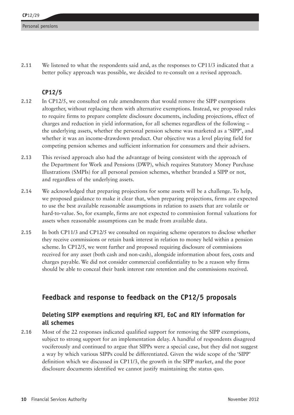**2.11** We listened to what the respondents said and, as the responses to CP11/3 indicated that a better policy approach was possible, we decided to re-consult on a revised approach.

#### **CP12/5**

- **2.12** In CP12/5, we consulted on rule amendments that would remove the SIPP exemptions altogether, without replacing them with alternative exemptions. Instead, we proposed rules to require firms to prepare complete disclosure documents, including projections, effect of charges and reduction in yield information, for all schemes regardless of the following – the underlying assets, whether the personal pension scheme was marketed as a 'SIPP', and whether it was an income-drawdown product. Our objective was a level playing field for competing pension schemes and sufficient information for consumers and their advisers.
- **2.13** This revised approach also had the advantage of being consistent with the approach of the Department for Work and Pensions (DWP), which requires Statutory Money Purchase Illustrations (SMPIs) for all personal pension schemes, whether branded a SIPP or not, and regardless of the underlying assets.
- **2.14** We acknowledged that preparing projections for some assets will be a challenge. To help, we proposed guidance to make it clear that, when preparing projections, firms are expected to use the best available reasonable assumptions in relation to assets that are volatile or hard-to-value. So, for example, firms are not expected to commission formal valuations for assets when reasonable assumptions can be made from available data.
- **2.15** In both CP11/3 and CP12/5 we consulted on requiring scheme operators to disclose whether they receive commissions or retain bank interest in relation to money held within a pension scheme. In CP12/5, we went further and proposed requiring disclosure of commissions received for any asset (both cash and non-cash), alongside information about fees, costs and charges payable. We did not consider commercial confidentiality to be a reason why firms should be able to conceal their bank interest rate retention and the commissions received.

#### **Feedback and response to feedback on the CP12/5 proposals**

#### **Deleting SIPP exemptions and requiring KFI, EoC and RIY information for all schemes**

**2.16** Most of the 22 responses indicated qualified support for removing the SIPP exemptions, subject to strong support for an implementation delay. A handful of respondents disagreed vociferously and continued to argue that SIPPs were a special case, but they did not suggest a way by which various SIPPs could be differentiated. Given the wide scope of the 'SIPP' definition which we discussed in CP11/3, the growth in the SIPP market, and the poor disclosure documents identified we cannot justify maintaining the status quo.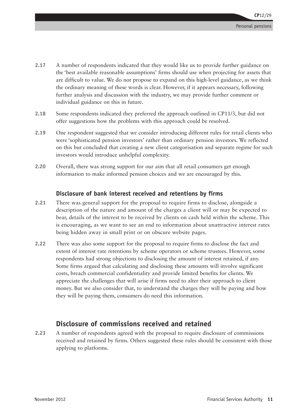- **2.17** A number of respondents indicated that they would like us to provide further guidance on the 'best available reasonable assumptions' firms should use when projecting for assets that are difficult to value. We do not propose to expand on this high-level guidance, as we think the ordinary meaning of these words is clear. However, if it appears necessary, following further analysis and discussion with the industry, we may provide further comment or individual guidance on this in future.
- **2.18** Some respondents indicated they preferred the approach outlined in CP11/3, but did not offer suggestions how the problems with this approach could be resolved.
- **2.19** One respondent suggested that we consider introducing different rules for retail clients who were 'sophisticated pension investors' rather than ordinary pension investors. We reflected on this but concluded that creating a new client categorisation and separate regime for such investors would introduce unhelpful complexity.
- **2.20** Overall, there was strong support for our aim that all retail consumers get enough information to make informed pension choices and we are encouraged by this.

#### **Disclosure of bank interest received and retentions by firms**

- **2.21** There was general support for the proposal to require firms to disclose, alongside a description of the nature and amount of the charges a client will or may be expected to bear, details of the interest to be received by clients on cash held within the scheme. This is encouraging, as we want to see an end to information about unattractive interest rates being hidden away in small print or on obscure website pages.
- **2.22** There was also some support for the proposal to require firms to disclose the fact and extent of interest rate retentions by scheme operators or scheme trustees. However, some respondents had strong objections to disclosing the amount of interest retained, if any. Some firms argued that calculating and disclosing these amounts will involve significant costs, breach commercial confidentiality and provide limited benefits for clients. We appreciate the challenges that will arise if firms need to alter their approach to client money. But we also consider that, to understand the charges they will be paying and how they will be paying them, consumers do need this information.

#### **Disclosure of commissions received and retained**

**2.23** A number of respondents agreed with the proposal to require disclosure of commissions received and retained by firms. Others suggested these rules should be consistent with those applying to platforms.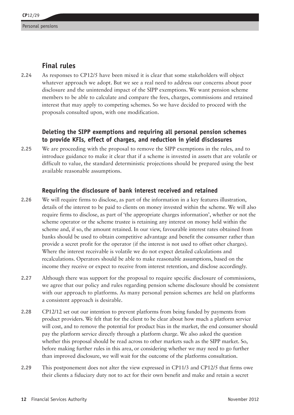#### **Final rules**

**2.24** As responses to CP12/5 have been mixed it is clear that some stakeholders will object whatever approach we adopt. But we see a real need to address our concerns about poor disclosure and the unintended impact of the SIPP exemptions. We want pension scheme members to be able to calculate and compare the fees, charges, commissions and retained interest that may apply to competing schemes. So we have decided to proceed with the proposals consulted upon, with one modification.

#### **Deleting the SIPP exemptions and requiring all personal pension schemes to provide KFIs, effect of charges, and reduction in yield disclosures**

**2.25** We are proceeding with the proposal to remove the SIPP exemptions in the rules, and to introduce guidance to make it clear that if a scheme is invested in assets that are volatile or difficult to value, the standard deterministic projections should be prepared using the best available reasonable assumptions.

#### **Requiring the disclosure of bank interest received and retained**

- **2.26** We will require firms to disclose, as part of the information in a key features illustration, details of the interest to be paid to clients on money invested within the scheme. We will also require firms to disclose, as part of 'the appropriate charges information', whether or not the scheme operator or the scheme trustee is retaining any interest on money held within the scheme and, if so, the amount retained. In our view, favourable interest rates obtained from banks should be used to obtain competitive advantage and benefit the consumer rather than provide a secret profit for the operator (if the interest is not used to offset other charges). Where the interest receivable is volatile we do not expect detailed calculations and recalculations. Operators should be able to make reasonable assumptions, based on the income they receive or expect to receive from interest retention, and disclose accordingly.
- **2.27** Although there was support for the proposal to require specific disclosure of commissions, we agree that our policy and rules regarding pension scheme disclosure should be consistent with our approach to platforms. As many personal pension schemes are held on platforms a consistent approach is desirable.
- **2.28** CP12/12 set out our intention to prevent platforms from being funded by payments from product providers. We felt that for the client to be clear about how much a platform service will cost, and to remove the potential for product bias in the market, the end consumer should pay the platform service directly through a platform charge. We also asked the question whether this proposal should be read across to other markets such as the SIPP market. So, before making further rules in this area, or considering whether we may need to go further than improved disclosure, we will wait for the outcome of the platforms consultation.
- **2.29** This postponement does not alter the view expressed in CP11/3 and CP12/5 that firms owe their clients a fiduciary duty not to act for their own benefit and make and retain a secret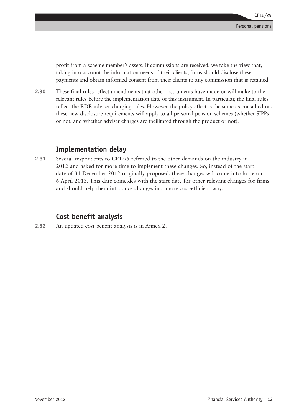profit from a scheme member's assets. If commissions are received, we take the view that, taking into account the information needs of their clients, firms should disclose these payments and obtain informed consent from their clients to any commission that is retained.

**2.30** These final rules reflect amendments that other instruments have made or will make to the relevant rules before the implementation date of this instrument. In particular, the final rules reflect the RDR adviser charging rules. However, the policy effect is the same as consulted on, these new disclosure requirements will apply to all personal pension schemes (whether SIPPs or not, and whether adviser charges are facilitated through the product or not).

#### **Implementation delay**

**2.31** Several respondents to CP12/5 referred to the other demands on the industry in 2012 and asked for more time to implement these changes. So, instead of the start date of 31 December 2012 originally proposed, these changes will come into force on 6 April 2013. This date coincides with the start date for other relevant changes for firms and should help them introduce changes in a more cost-efficient way.

#### **Cost benefit analysis**

**2.32** An updated cost benefit analysis is in Annex 2.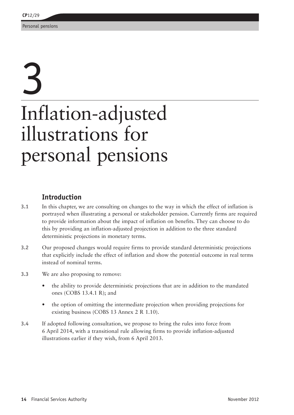## 3 Inflation-adjusted illustrations for personal pensions

#### **Introduction**

- **3.1** In this chapter, we are consulting on changes to the way in which the effect of inflation is portrayed when illustrating a personal or stakeholder pension. Currently firms are required to provide information about the impact of inflation on benefits. They can choose to do this by providing an inflation-adjusted projection in addition to the three standard deterministic projections in monetary terms.
- **3.2** Our proposed changes would require firms to provide standard deterministic projections that explicitly include the effect of inflation and show the potential outcome in real terms instead of nominal terms.
- **3.3** We are also proposing to remove:
	- the ability to provide deterministic projections that are in addition to the mandated ones (COBS 13.4.1 R); and
	- the option of omitting the intermediate projection when providing projections for existing business (COBS 13 Annex 2 R 1.10).
- **3.4** If adopted following consultation, we propose to bring the rules into force from 6 April 2014, with a transitional rule allowing firms to provide inflation-adjusted illustrations earlier if they wish, from 6 April 2013.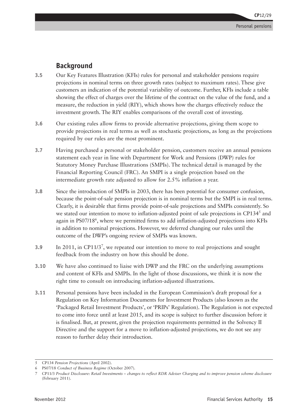#### **Background**

- **3.5** Our Key Features Illustration (KFIs) rules for personal and stakeholder pensions require projections in nominal terms on three growth rates (subject to maximum rates). These give customers an indication of the potential variability of outcome. Further, KFIs include a table showing the effect of charges over the lifetime of the contract on the value of the fund, and a measure, the reduction in yield (RIY), which shows how the charges effectively reduce the investment growth. The RIY enables comparisons of the overall cost of investing.
- **3.6** Our existing rules allow firms to provide alternative projections, giving them scope to provide projections in real terms as well as stochastic projections, as long as the projections required by our rules are the most prominent.
- **3.7** Having purchased a personal or stakeholder pension, customers receive an annual pensions statement each year in line with Department for Work and Pensions (DWP) rules for Statutory Money Purchase Illustrations (SMPIs). The technical detail is managed by the Financial Reporting Council (FRC). An SMPI is a single projection based on the intermediate growth rate adjusted to allow for 2.5% inflation a year.
- **3.8** Since the introduction of SMPIs in 2003, there has been potential for consumer confusion, because the point-of-sale pension projection is in nominal terms but the SMPI is in real terms. Clearly, it is desirable that firms provide point-of-sale projections and SMPIs consistently. So we stated our intention to move to inflation-adjusted point of sale projections in CP134<sup>5</sup> and again in PS07/18<sup>6</sup>, where we permitted firms to add inflation-adjusted projections into KFIs in addition to nominal projections. However, we deferred changing our rules until the outcome of the DWP's ongoing review of SMPIs was known.
- **3.9** In 2011, in CP11/3<sup>7</sup>, we repeated our intention to move to real projections and sought feedback from the industry on how this should be done.
- **3.10** We have also continued to liaise with DWP and the FRC on the underlying assumptions and content of KFIs and SMPIs. In the light of those discussions, we think it is now the right time to consult on introducing inflation-adjusted illustrations.
- **3.11** Personal pensions have been included in the European Commission's draft proposal for a Regulation on Key Information Documents for Investment Products (also known as the 'Packaged Retail Investment Products', or 'PRIPs' Regulation). The Regulation is not expected to come into force until at least 2015, and its scope is subject to further discussion before it is finalised. But, at present, given the projection requirements permitted in the Solvency II Directive and the support for a move to inflation-adjusted projections, we do not see any reason to further delay their introduction.

<sup>5</sup> CP134 *Pension Projections* (April 2002).

<sup>6</sup> PS07/18 *Conduct of Business Regime* (October 2007).

<sup>7</sup> CP11/3 *Product Disclosure: Retail Investments – changes to reflect RDR Adviser Charging and to improve pension scheme disclosure*  (February 2011).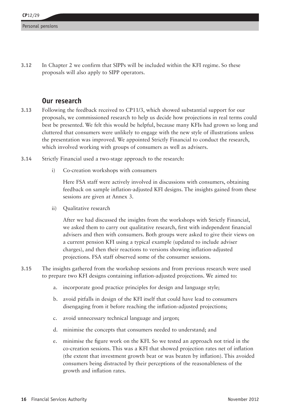**3.12** In Chapter 2 we confirm that SIPPs will be included within the KFI regime. So these proposals will also apply to SIPP operators.

#### **Our research**

- **3.13** Following the feedback received to CP11/3, which showed substantial support for our proposals, we commissioned research to help us decide how projections in real terms could best be presented. We felt this would be helpful, because many KFIs had grown so long and cluttered that consumers were unlikely to engage with the new style of illustrations unless the presentation was improved. We appointed Strictly Financial to conduct the research, which involved working with groups of consumers as well as advisers.
- **3.14** Strictly Financial used a two-stage approach to the research:
	- i) Co-creation workshops with consumers

Here FSA staff were actively involved in discussions with consumers, obtaining feedback on sample inflation-adjusted KFI designs. The insights gained from these sessions are given at Annex 3.

ii) Qualitative research

After we had discussed the insights from the workshops with Strictly Financial, we asked them to carry out qualitative research, first with independent financial advisers and then with consumers. Both groups were asked to give their views on a current pension KFI using a typical example (updated to include adviser charges), and then their reactions to versions showing inflation-adjusted projections. FSA staff observed some of the consumer sessions.

- **3.15** The insights gathered from the workshop sessions and from previous research were used to prepare two KFI designs containing inflation-adjusted projections. We aimed to:
	- a. incorporate good practice principles for design and language style;
	- b. avoid pitfalls in design of the KFI itself that could have lead to consumers disengaging from it before reaching the inflation-adjusted projections;
	- c. avoid unnecessary technical language and jargon;
	- d. minimise the concepts that consumers needed to understand; and
	- e. minimise the figure work on the KFI. So we tested an approach not tried in the co-creation sessions. This was a KFI that showed projection rates net of inflation (the extent that investment growth beat or was beaten by inflation). This avoided consumers being distracted by their perceptions of the reasonableness of the growth and inflation rates.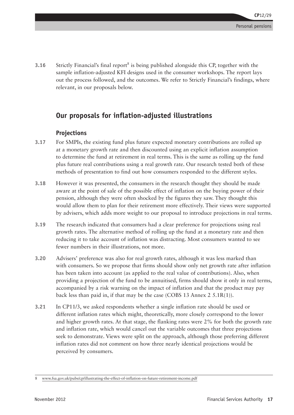**3.16** Strictly Financial's final report<sup>8</sup> is being published alongside this CP, together with the sample inflation-adjusted KFI designs used in the consumer workshops. The report lays out the process followed, and the outcomes. We refer to Strictly Financial's findings, where relevant, in our proposals below.

#### **Our proposals for inflation-adjusted illustrations**

#### **Projections**

- **3.17** For SMPIs, the existing fund plus future expected monetary contributions are rolled up at a monetary growth rate and then discounted using an explicit inflation assumption to determine the fund at retirement in real terms. This is the same as rolling up the fund plus future real contributions using a real growth rate. Our research tested both of these methods of presentation to find out how consumers responded to the different styles.
- **3.18** However it was presented, the consumers in the research thought they should be made aware at the point of sale of the possible effect of inflation on the buying power of their pension, although they were often shocked by the figures they saw. They thought this would allow them to plan for their retirement more effectively. Their views were supported by advisers, which adds more weight to our proposal to introduce projections in real terms.
- **3.19** The research indicated that consumers had a clear preference for projections using real growth rates. The alternative method of rolling up the fund at a monetary rate and then reducing it to take account of inflation was distracting. Most consumers wanted to see fewer numbers in their illustrations, not more.
- **3.20** Advisers' preference was also for real growth rates, although it was less marked than with consumers. So we propose that firms should show only net growth rate after inflation has been taken into account (as applied to the real value of contributions). Also, when providing a projection of the fund to be annuitised, firms should show it only in real terms, accompanied by a risk warning on the impact of inflation and that the product may pay back less than paid in, if that may be the case (COBS 13 Annex 2 5.1R(1)).
- **3.21** In CP11/3, we asked respondents whether a single inflation rate should be used or different inflation rates which might, theoretically, more closely correspond to the lower and higher growth rates. At that stage, the flanking rates were 2% for both the growth rate and inflation rate, which would cancel out the variable outcomes that three projections seek to demonstrate. Views were split on the approach, although those preferring different inflation rates did not comment on how three nearly identical projections would be perceived by consumers.

<sup>8</sup> [www.fsa.gov.uk/pubs/cp/illustrating-the-effect-of-inflation-on-future-retirement-income.pdf](http://www.fsa.gov.uk/pubs/cp/illustrating-the-effect-of-inflation-on-future-retirement-income.pdf)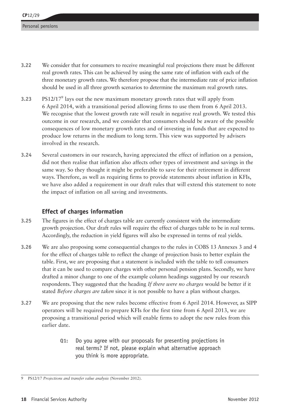- **3.22** We consider that for consumers to receive meaningful real projections there must be different real growth rates. This can be achieved by using the same rate of inflation with each of the three monetary growth rates. We therefore propose that the intermediate rate of price inflation should be used in all three growth scenarios to determine the maximum real growth rates.
- **3.23** PS12/17<sup>9</sup> lays out the new maximum monetary growth rates that will apply from 6 April 2014, with a transitional period allowing firms to use them from 6 April 2013. We recognise that the lowest growth rate will result in negative real growth. We tested this outcome in our research, and we consider that consumers should be aware of the possible consequences of low monetary growth rates and of investing in funds that are expected to produce low returns in the medium to long term. This view was supported by advisers involved in the research.
- **3.24** Several customers in our research, having appreciated the effect of inflation on a pension, did not then realise that inflation also affects other types of investment and savings in the same way. So they thought it might be preferable to save for their retirement in different ways. Therefore, as well as requiring firms to provide statements about inflation in KFIs, we have also added a requirement in our draft rules that will extend this statement to note the impact of inflation on all saving and investments.

#### **Effect of charges information**

- **3.25** The figures in the effect of charges table are currently consistent with the intermediate growth projection. Our draft rules will require the effect of charges table to be in real terms. Accordingly, the reduction in yield figures will also be expressed in terms of real yields.
- **3.26** We are also proposing some consequential changes to the rules in COBS 13 Annexes 3 and 4 for the effect of charges table to reflect the change of projection basis to better explain the table. First, we are proposing that a statement is included with the table to tell consumers that it can be used to compare charges with other personal pension plans. Secondly, we have drafted a minor change to one of the example column headings suggested by our research respondents. They suggested that the heading *If there were no charges* would be better if it stated *Before charges are taken* since it is not possible to have a plan without charges.
- **3.27** We are proposing that the new rules become effective from 6 April 2014. However, as SIPP operators will be required to prepare KFIs for the first time from 6 April 2013, we are proposing a transitional period which will enable firms to adopt the new rules from this earlier date.
	- **Q1:** Do you agree with our proposals for presenting projections in real terms? If not, please explain what alternative approach you think is more appropriate.

<sup>9</sup> PS12/17 *Projections and transfer value analysis* (November 2012).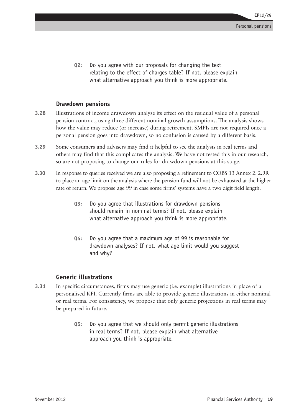**Q2:** Do you agree with our proposals for changing the text relating to the effect of charges table? If not, please explain what alternative approach you think is more appropriate.

#### **Drawdown pensions**

- **3.28** Illustrations of income drawdown analyse its effect on the residual value of a personal pension contract, using three different nominal growth assumptions. The analysis shows how the value may reduce (or increase) during retirement. SMPIs are not required once a personal pension goes into drawdown, so no confusion is caused by a different basis.
- **3.29** Some consumers and advisers may find it helpful to see the analysis in real terms and others may find that this complicates the analysis. We have not tested this in our research, so are not proposing to change our rules for drawdown pensions at this stage.
- **3.30** In response to queries received we are also proposing a refinement to COBS 13 Annex 2. 2.9R to place an age limit on the analysis where the pension fund will not be exhausted at the higher rate of return. We propose age 99 in case some firms' systems have a two digit field length.
	- **Q3:** Do you agree that illustrations for drawdown pensions should remain in nominal terms? If not, please explain what alternative approach you think is more appropriate.
	- **Q4:** Do you agree that a maximum age of 99 is reasonable for drawdown analyses? If not, what age limit would you suggest and why?

#### **Generic illustrations**

- **3.31** In specific circumstances, firms may use generic (i.e. example) illustrations in place of a personalised KFI. Currently firms are able to provide generic illustrations in either nominal or real terms. For consistency, we propose that only generic projections in real terms may be prepared in future.
	- **Q5:** Do you agree that we should only permit generic illustrations in real terms? If not, please explain what alternative approach you think is appropriate.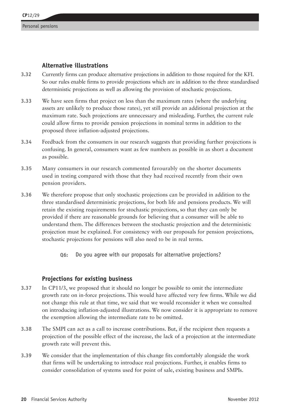#### **Alternative illustrations**

- **3.32** Currently firms can produce alternative projections in addition to those required for the KFI. So our rules enable firms to provide projections which are in addition to the three standardised deterministic projections as well as allowing the provision of stochastic projections.
- **3.33** We have seen firms that project on less than the maximum rates (where the underlying assets are unlikely to produce those rates), yet still provide an additional projection at the maximum rate. Such projections are unnecessary and misleading. Further, the current rule could allow firms to provide pension projections in nominal terms in addition to the proposed three inflation-adjusted projections.
- **3.34** Feedback from the consumers in our research suggests that providing further projections is confusing. In general, consumers want as few numbers as possible in as short a document as possible.
- **3.35** Many consumers in our research commented favourably on the shorter documents used in testing compared with those that they had received recently from their own pension providers.
- **3.36** We therefore propose that only stochastic projections can be provided in addition to the three standardised deterministic projections, for both life and pensions products. We will retain the existing requirements for stochastic projections, so that they can only be provided if there are reasonable grounds for believing that a consumer will be able to understand them. The differences between the stochastic projection and the deterministic projection must be explained. For consistency with our proposals for pension projections, stochastic projections for pensions will also need to be in real terms.
	- **Q6:** Do you agree with our proposals for alternative projections?

#### **Projections for existing business**

- **3.37** In CP11/3, we proposed that it should no longer be possible to omit the intermediate growth rate on in-force projections. This would have affected very few firms. While we did not change this rule at that time, we said that we would reconsider it when we consulted on introducing inflation-adjusted illustrations. We now consider it is appropriate to remove the exemption allowing the intermediate rate to be omitted.
- **3.38** The SMPI can act as a call to increase contributions. But, if the recipient then requests a projection of the possible effect of the increase, the lack of a projection at the intermediate growth rate will prevent this.
- **3.39** We consider that the implementation of this change fits comfortably alongside the work that firms will be undertaking to introduce real projections. Further, it enables firms to consider consolidation of systems used for point of sale, existing business and SMPIs.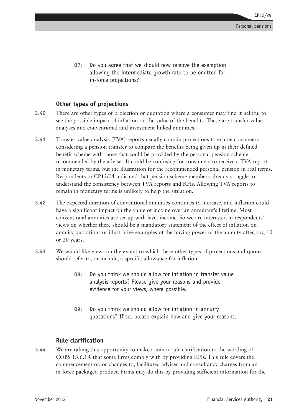**Q7:** Do you agree that we should now remove the exemption allowing the intermediate growth rate to be omitted for in-force projections?

#### **Other types of projections**

- **3.40** There are other types of projection or quotation where a consumer may find it helpful to see the possible impact of inflation on the value of the benefits. These are transfer value analyses and conventional and investment-linked annuities.
- **3.41** Transfer value analysis (TVA) reports usually contain projections to enable consumers considering a pension transfer to compare the benefits being given up in their defined benefit scheme with those that could be provided by the personal pension scheme recommended by the adviser. It could be confusing for consumers to receive a TVA report in monetary terms, but the illustration for the recommended personal pension in real terms. Respondents to CP12/04 indicated that pension scheme members already struggle to understand the consistency between TVA reports and KFIs. Allowing TVA reports to remain in monetary terms is unlikely to help the situation.
- **3.42** The expected duration of conventional annuities continues to increase, and inflation could have a significant impact on the value of income over an annuitant's lifetime. Most conventional annuities are set up with level income. So we are interested in respondents' views on whether there should be a mandatory statement of the effect of inflation on annuity quotations or illustrative examples of the buying power of the annuity after, say, 10 or 20 years.
- **3.43** We would like views on the extent to which these other types of projections and quotes should refer to, or include, a specific allowance for inflation.
	- **Q8:** Do you think we should allow for inflation in transfer value analysis reports? Please give your reasons and provide evidence for your views, where possible.
	- **Q9:** Do you think we should allow for inflation in annuity quotations? If so, please explain how and give your reasons.

#### **Rule clarification**

**3.44** We are taking this opportunity to make a minor rule clarification to the wording of COBS 13.6.1R that some firms comply with by providing KFIs. This rule covers the commencement of, or changes to, facilitated adviser and consultancy charges from an in-force packaged product. Firms may do this by providing sufficient information for the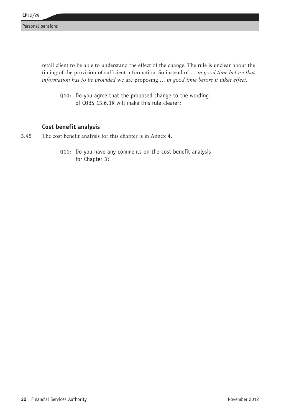retail client to be able to understand the effect of the change. The rule is unclear about the timing of the provision of sufficient information. So instead of *… in good time before that information has to be provided* we are proposing *… in good time before it takes effect.*

**Q10:** Do you agree that the proposed change to the wording of COBS 13.6.1R will make this rule clearer?

#### **Cost benefit analysis**

- **3.45** The cost benefit analysis for this chapter is in Annex 4.
	- **Q11:** Do you have any comments on the cost benefit analysis for Chapter 3?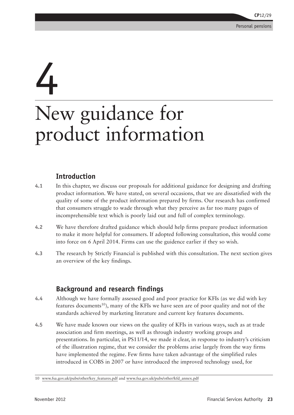## 4

## New guidance for product information

#### **Introduction**

- **4.1** In this chapter, we discuss our proposals for additional guidance for designing and drafting product information. We have stated, on several occasions, that we are dissatisfied with the quality of some of the product information prepared by firms. Our research has confirmed that consumers struggle to wade through what they perceive as far too many pages of incomprehensible text which is poorly laid out and full of complex terminology.
- **4.2** We have therefore drafted guidance which should help firms prepare product information to make it more helpful for consumers. If adopted following consultation, this would come into force on 6 April 2014. Firms can use the guidence earlier if they so wish.
- **4.3** The research by Strictly Financial is published with this consultation. The next section gives an overview of the key findings.

#### **Background and research findings**

- **4.4** Although we have formally assessed good and poor practice for KFIs (as we did with key features documents<sup>10</sup>), many of the KFIs we have seen are of poor quality and not of the standards achieved by marketing literature and current key features documents.
- **4.5** We have made known our views on the quality of KFIs in various ways, such as at trade association and firm meetings, as well as through industry working groups and presentations. In particular, in PS11/14, we made it clear, in response to industry's criticism of the illustration regime, that we consider the problems arise largely from the way firms have implemented the regime. Few firms have taken advantage of the simplified rules introduced in COBS in 2007 or have introduced the improved technology used, for

<sup>10</sup> [www.fsa.gov.uk/pubs/other/key\\_features.pdf](http://www.fsa.gov.uk/pubs/other/key_features.pdf) and [www.fsa.gov.uk/pubs/other/kfd\\_annex.pdf](http://www.fsa.gov.uk/pubs/other/kfd_annex.pdf)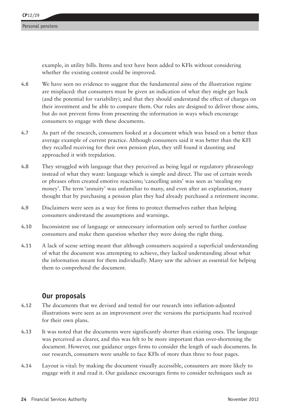example, in utility bills. Items and text have been added to KFIs without considering whether the existing content could be improved.

- **4.6** We have seen no evidence to suggest that the fundamental aims of the illustration regime are misplaced: that consumers must be given an indication of what they might get back (and the potential for variability); and that they should understand the effect of charges on their investment and be able to compare them. Our rules are designed to deliver those aims, but do not prevent firms from presenting the information in ways which encourage consumers to engage with these documents.
- **4.7** As part of the research, consumers looked at a document which was based on a better than average example of current practice. Although consumers said it was better than the KFI they recalled receiving for their own pension plan, they still found it daunting and approached it with trepidation.
- **4.8** They struggled with language that they perceived as being legal or regulatory phraseology instead of what they want: language which is simple and direct. The use of certain words or phrases often created emotive reactions; 'cancelling units' was seen as 'stealing my money'. The term 'annuity' was unfamiliar to many, and even after an explanation, many thought that by purchasing a pension plan they had already purchased a retirement income.
- **4.9** Disclaimers were seen as a way for firms to protect themselves rather than helping consumers understand the assumptions and warnings.
- **4.10** Inconsistent use of language or unnecessary information only served to further confuse consumers and make them question whether they were doing the right thing.
- **4.11** A lack of scene setting meant that although consumers acquired a superficial understanding of what the document was attempting to achieve, they lacked understanding about what the information meant for them individually. Many saw the adviser as essential for helping them to comprehend the document.

#### **Our proposals**

- **4.12** The documents that we devised and tested for our research into inflation-adjusted illustrations were seen as an improvement over the versions the participants had received for their own plans.
- **4.13** It was noted that the documents were significantly shorter than existing ones. The language was perceived as clearer, and this was felt to be more important than over-shortening the document. However, our guidance urges firms to consider the length of such documents. In our research, consumers were unable to face KFIs of more than three to four pages.
- **4.14** Layout is vital: by making the document visually accessible, consumers are more likely to engage with it and read it. Our guidance encourages firms to consider techniques such as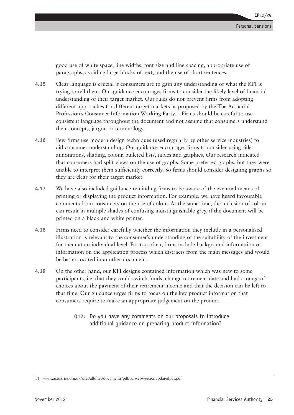good use of white space, line widths, font size and line spacing, appropriate use of paragraphs, avoiding large blocks of text, and the use of short sentences.

- **4.15** Clear language is crucial if consumers are to gain any understanding of what the KFI is trying to tell them. Our guidance encourages firms to consider the likely level of financial understanding of their target market. Our rules do not prevent firms from adopting different approaches for different target markets as proposed by the The Actuarial Profession's Consumer Information Working Party.<sup>11</sup> Firms should be careful to use consistent language throughout the document and not assume that consumers understand their concepts, jargon or terminology.
- **4.16** Few firms use modern design techniques (used regularly by other service industries) to aid consumer understanding. Our guidance encourages firms to consider using side annotations, shading, colour, bulleted lists, tables and graphics. Our research indicated that consumers had split views on the use of graphs. Some preferred graphs, but they were unable to interpret them sufficiently correctly. So firms should consider designing graphs so they are clear for their target market.
- **4.17** We have also included guidance reminding firms to be aware of the eventual means of printing or displaying the product information. For example, we have heard favourable comments from consumers on the use of colour. At the same time, the inclusion of colour can result in multiple shades of confusing indistinguishable grey, if the document will be printed on a black and white printer.
- **4.18** Firms need to consider carefully whether the information they include in a personalised illustration is relevant to the consumer's understanding of the suitability of the investment for them at an individual level. Far too often, firms include background information or information on the application process which distracts from the main messages and would be better located in another document.
- **4.19** On the other hand, our KFI designs contained information which was new to some participants, i.e. that they could switch funds, change retirement date and had a range of choices about the payment of their retirement income and that the decision can be left to that time. Our guidance urges firms to focus on the key product information that consumers require to make an appropriate judgement on the product.
	- **Q12:** Do you have any comments on our proposals to introduce additional guidance on preparing product information?

<sup>11</sup> [www.actuaries.org.uk/sites/all/files/documents/pdf/bajweb-versionupdatedpdf.pdf](http://www.actuaries.org.uk/sites/all/files/documents/pdf/bajweb-versionupdatedpdf.pdf)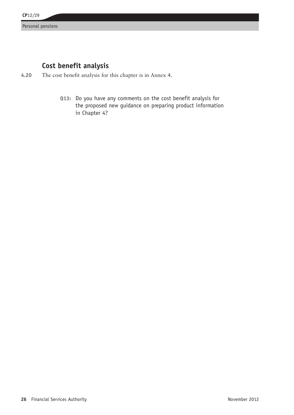#### **Cost benefit analysis**

- **4.20** The cost benefit analysis for this chapter is in Annex 4.
	- **Q13:** Do you have any comments on the cost benefit analysis for the proposed new guidance on preparing product information in Chapter 4?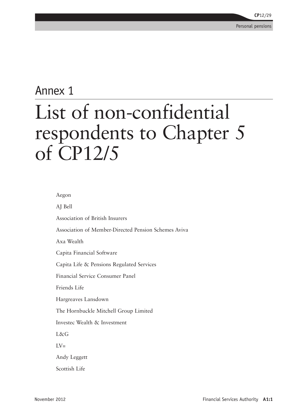### Annex 1 List of non-confidential respondents to Chapter 5 of CP12/5

Aegon

AJ Bell Association of British Insurers Association of Member-Directed Pension Schemes Aviva Axa Wealth Capita Financial Software Capita Life & Pensions Regulated Services Financial Service Consumer Panel Friends Life Hargreaves Lansdown The Hornbuckle Mitchell Group Limited Investec Wealth & Investment L&G  $\overline{L}V=$ Andy Leggett Scottish Life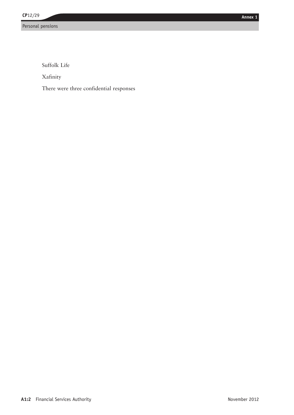Suffolk Life

Xafinity

There were three confidential responses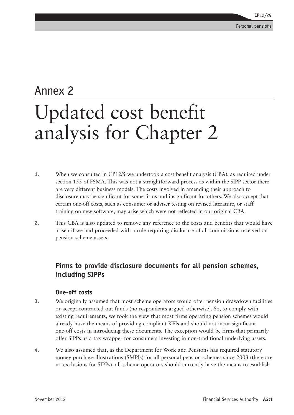### Annex 2 Updated cost benefit analysis for Chapter 2

- **1.** When we consulted in CP12/5 we undertook a cost benefit analysis (CBA), as required under section 155 of FSMA. This was not a straightforward process as within the SIPP sector there are very different business models. The costs involved in amending their approach to disclosure may be significant for some firms and insignificant for others. We also accept that certain one-off costs, such as consumer or adviser testing on revised literature, or staff training on new software, may arise which were not reflected in our original CBA.
- **2.** This CBA is also updated to remove any reference to the costs and benefits that would have arisen if we had proceeded with a rule requiring disclosure of all commissions received on pension scheme assets.

#### **Firms to provide disclosure documents for all pension schemes, including SIPPs**

#### **One-off costs**

- **3.** We originally assumed that most scheme operators would offer pension drawdown facilities or accept contracted-out funds (no respondents argued otherwise). So, to comply with existing requirements, we took the view that most firms operating pension schemes would already have the means of providing compliant KFIs and should not incur significant one-off costs in introducing these documents. The exception would be firms that primarily offer SIPPs as a tax wrapper for consumers investing in non-traditional underlying assets.
- **4.** We also assumed that, as the Department for Work and Pensions has required statutory money purchase illustrations (SMPIs) for all personal pension schemes since 2003 (there are no exclusions for SIPPs), all scheme operators should currently have the means to establish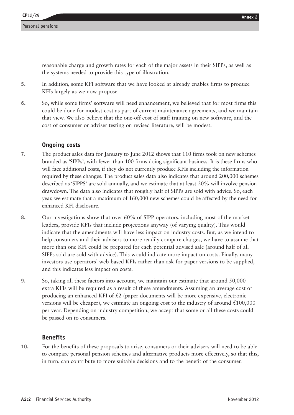reasonable charge and growth rates for each of the major assets in their SIPPs, as well as the systems needed to provide this type of illustration.

- **5.** In addition, some KFI software that we have looked at already enables firms to produce KFIs largely as we now propose.
- **6.** So, while some firms' software will need enhancement, we believed that for most firms this could be done for modest cost as part of current maintenance agreements, and we maintain that view. We also believe that the one-off cost of staff training on new software, and the cost of consumer or adviser testing on revised literature, will be modest.

#### **Ongoing costs**

- **7.** The product sales data for January to June 2012 shows that 110 firms took on new schemes branded as 'SIPPs', with fewer than 100 firms doing significant business. It is these firms who will face additional costs, if they do not currently produce KFIs including the information required by these changes. The product sales data also indicates that around 200,000 schemes described as 'SIPPS' are sold annually, and we estimate that at least 20% will involve pension drawdown. The data also indicates that roughly half of SIPPs are sold with advice. So, each year, we estimate that a maximum of 160,000 new schemes could be affected by the need for enhanced KFI disclosure.
- **8.** Our investigations show that over 60% of SIPP operators, including most of the market leaders, provide KFIs that include projections anyway (of varying quality). This would indicate that the amendments will have less impact on industry costs. But, as we intend to help consumers and their advisers to more readily compare charges, we have to assume that more than one KFI could be prepared for each potential advised sale (around half of all SIPPs sold are sold with advice). This would indicate more impact on costs. Finally, many investors use operators' web-based KFIs rather than ask for paper versions to be supplied, and this indicates less impact on costs.
- **9.** So, taking all these factors into account, we maintain our estimate that around 50,000 extra KFIs will be required as a result of these amendments. Assuming an average cost of producing an enhanced KFI of  $\mathcal{L}2$  (paper documents will be more expensive, electronic versions will be cheaper), we estimate an ongoing cost to the industry of around  $\pounds 100,000$ per year. Depending on industry competition, we accept that some or all these costs could be passed on to consumers.

#### **Benefits**

**10.** For the benefits of these proposals to arise, consumers or their advisers will need to be able to compare personal pension schemes and alternative products more effectively, so that this, in turn, can contribute to more suitable decisions and to the benefit of the consumer.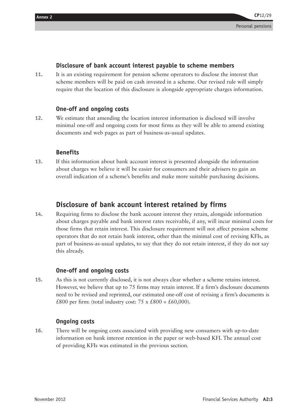#### **Disclosure of bank account interest payable to scheme members**

**11.** It is an existing requirement for pension scheme operators to disclose the interest that scheme members will be paid on cash invested in a scheme. Our revised rule will simply require that the location of this disclosure is alongside appropriate charges information.

#### **One-off and ongoing costs**

**12.** We estimate that amending the location interest information is disclosed will involve minimal one-off and ongoing costs for most firms as they will be able to amend existing documents and web pages as part of business-as-usual updates.

#### **Benefits**

**13.** If this information about bank account interest is presented alongside the information about charges we believe it will be easier for consumers and their advisers to gain an overall indication of a scheme's benefits and make more suitable purchasing decisions.

#### **Disclosure of bank account interest retained by firms**

**14.** Requiring firms to disclose the bank account interest they retain, alongside information about charges payable and bank interest rates receivable, if any, will incur minimal costs for those firms that retain interest. This disclosure requirement will not affect pension scheme operators that do not retain bank interest, other than the minimal cost of revising KFIs, as part of business-as-usual updates, to say that they do not retain interest, if they do not say this already.

#### **One-off and ongoing costs**

**15.** As this is not currently disclosed, it is not always clear whether a scheme retains interest. However, we believe that up to 75 firms may retain interest. If a firm's disclosure documents need to be revised and reprinted, our estimated one-off cost of revising a firm's documents is £800 per firm: (total industry cost:  $75 \times £800 = £60,000$ ).

#### **Ongoing costs**

**16.** There will be ongoing costs associated with providing new consumers with up-to-date information on bank interest retention in the paper or web-based KFI. The annual cost of providing KFIs was estimated in the previous section.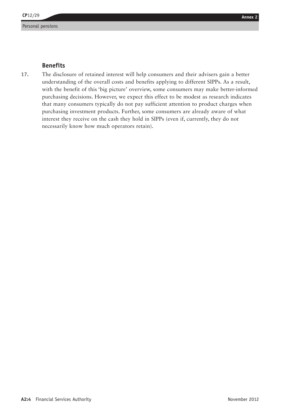## Annex 2<br>Benefits<br>Benefits

**17.** The disclosure of retained interest will help consumers and their advisers gain a better understanding of the overall costs and benefits applying to different SIPPs. As a result, with the benefit of this 'big picture' overview, some consumers may make better-informed purchasing decisions. However, we expect this effect to be modest as research indicates that many consumers typically do not pay sufficient attention to product charges when purchasing investment products. Further, some consumers are already aware of what interest they receive on the cash they hold in SIPPs (even if, currently, they do not necessarily know how much operators retain).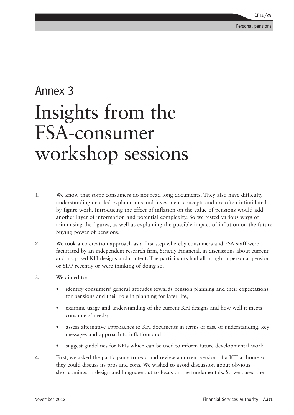### Annex 3 Insights from the FSA-consumer workshop sessions

- **1.** We know that some consumers do not read long documents. They also have difficulty understanding detailed explanations and investment concepts and are often intimidated by figure work. Introducing the effect of inflation on the value of pensions would add another layer of information and potential complexity. So we tested various ways of minimising the figures, as well as explaining the possible impact of inflation on the future buying power of pensions.
- **2.** We took a co-creation approach as a first step whereby consumers and FSA staff were facilitated by an independent research firm, Strictly Financial, in discussions about current and proposed KFI designs and content. The participants had all bought a personal pension or SIPP recently or were thinking of doing so.
- **3.** We aimed to:
	- identify consumers' general attitudes towards pension planning and their expectations for pensions and their role in planning for later life;
	- examine usage and understanding of the current KFI designs and how well it meets consumers' needs;
	- assess alternative approaches to KFI documents in terms of ease of understanding, key messages and approach to inflation; and
	- suggest guidelines for KFIs which can be used to inform future developmental work.
- **4.** First, we asked the participants to read and review a current version of a KFI at home so they could discuss its pros and cons. We wished to avoid discussion about obvious shortcomings in design and language but to focus on the fundamentals. So we based the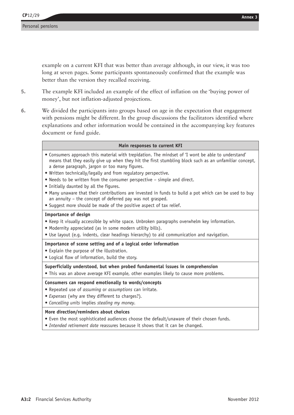example on a current KFI that was better than average although, in our view, it was too long at seven pages. Some participants spontaneously confirmed that the example was better than the version they recalled receiving.

- **5.** The example KFI included an example of the effect of inflation on the 'buying power of money', but not inflation-adjusted projections.
- **6.** We divided the participants into groups based on age in the expectation that engagement with pensions might be different. In the group discussions the facilitators identified where explanations and other information would be contained in the accompanying key features document or fund guide.

#### **Main responses to current KFI**

- • Consumers approach this material with trepidation. The mindset of 'I wont be able to understand' means that they easily give up when they hit the first stumbling block such as an unfamiliar concept, a dense paragraph, jargon or too many figures.
- Written technically/legally and from regulatory perspective.
- Needs to be written from the consumer perspective simple and direct.
- Initially daunted by all the figures.
- Many unaware that their contributions are invested in funds to build a pot which can be used to buy an annuity – the concept of deferred pay was not grasped.
- Suggest more should be made of the positive aspect of tax relief.

#### **Importance of design**

- • Keep it visually accessible by white space. Unbroken paragraphs overwhelm key information.
- Modernity appreciated (as in some modern utility bills).
- • Use layout (e.g. indents, clear headings hierarchy) to aid communication and navigation.

#### **Importance of scene setting and of a logical order information**

- • Explain the purpose of the illustration.
- Logical flow of information, build the story.

#### **Superficially understood, but when probed fundamental issues in comprehension**

• This was an above average KFI example, other examples likely to cause more problems.

#### **Consumers can respond emotionally to words/concepts**

- • Repeated use of *assuming* or *assumptions* can irritate*.*
- *• Expenses* (why are they different to charges?)*.*
- *• Cancelling units* implies *stealing my money.*

#### **More direction/reminders about choices**

- • Even the most sophisticated audiences choose the default/unaware of their chosen funds.
- *• Intended retirement date* reassures because it shows that it can be changed.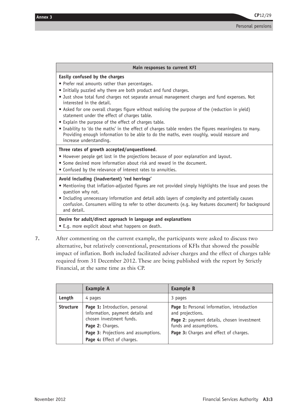| Main responses to current KFI                                                                                                                                                                                                                                                                                                                                                                                                                                                                                                                                                                                                                                                                                                   |
|---------------------------------------------------------------------------------------------------------------------------------------------------------------------------------------------------------------------------------------------------------------------------------------------------------------------------------------------------------------------------------------------------------------------------------------------------------------------------------------------------------------------------------------------------------------------------------------------------------------------------------------------------------------------------------------------------------------------------------|
| Easily confused by the charges<br>• Prefer real amounts rather than percentages.<br>• Initially puzzled why there are both product and fund charges.<br>. Just show total fund charges not separate annual management charges and fund expenses. Not<br>interested in the detail.<br>• Asked for one overall charges figure without realising the purpose of the (reduction in yield)<br>statement under the effect of charges table.<br>• Explain the purpose of the effect of charges table.<br>• Inability to 'do the maths' in the effect of charges table renders the figures meaningless to many.<br>Providing enough information to be able to do the maths, even roughly, would reassure and<br>increase understanding. |
| Three rates of growth accepted/unquestioned.<br>• However people get lost in the projections because of poor explanation and layout.<br>• Some desired more information about risk and reward in the document.<br>• Confused by the relevance of interest rates to annuities.                                                                                                                                                                                                                                                                                                                                                                                                                                                   |
| Avoid including (inadvertent) 'red herrings'<br>• Mentioning that inflation-adjusted figures are not provided simply highlights the issue and poses the<br>question why not.<br>• Including unnecessary information and detail adds layers of complexity and potentially causes<br>confusion. Consumers willing to refer to other documents (e.g. key features document) for background<br>and detail.                                                                                                                                                                                                                                                                                                                          |
| Desire for adult/direct approach in language and explanations                                                                                                                                                                                                                                                                                                                                                                                                                                                                                                                                                                                                                                                                   |

• E.g. more explicit about what happens on death.

**7.** After commenting on the current example, the participants were asked to discuss two alternative, but relatively conventional, presentations of KFIs that showed the possible impact of inflation. Both included facilitated adviser charges and the effect of charges table required from 31 December 2012. These are being published with the report by Strictly Financial, at the same time as this CP.

|                  | <b>Example A</b>                                                                                                                                                                         | <b>Example B</b>                                                                                                                                                                 |
|------------------|------------------------------------------------------------------------------------------------------------------------------------------------------------------------------------------|----------------------------------------------------------------------------------------------------------------------------------------------------------------------------------|
| Length           | 4 pages                                                                                                                                                                                  | 3 pages                                                                                                                                                                          |
| <b>Structure</b> | Page 1: Introduction, personal<br>information, payment details and<br>chosen investment funds.<br>Page 2: Charges.<br>Page 3: Projections and assumptions.<br>Page 4: Effect of charges. | Page 1: Personal information, introduction<br>and projections.<br>Page 2: payment details, chosen investment<br>funds and assumptions.<br>Page 3: Charges and effect of charges. |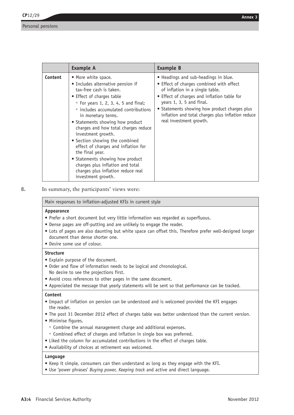|         | <b>Example A</b>                                                                                                                                                                                                                                                                                                                                                                                                                                                                                                                                               | <b>Example B</b>                                                                                                                                                                                                                                                                                                                |
|---------|----------------------------------------------------------------------------------------------------------------------------------------------------------------------------------------------------------------------------------------------------------------------------------------------------------------------------------------------------------------------------------------------------------------------------------------------------------------------------------------------------------------------------------------------------------------|---------------------------------------------------------------------------------------------------------------------------------------------------------------------------------------------------------------------------------------------------------------------------------------------------------------------------------|
| Content | • More white space.<br>• Includes alternative pension if<br>tax-free cash is taken.<br>• Effect of charges table<br>$\circ$ For years 1, 2, 3, 4, 5 and final;<br>• includes accumulated contributions<br>in monetary terms.<br>• Statements showing how product<br>charges and how total charges reduce<br>investment growth.<br>• Section showing the combined<br>effect of charges and inflation for<br>the final year.<br>• Statements showing how product<br>charges plus inflation and total<br>charges plus inflation reduce real<br>investment growth. | • Headings and sub-headings in blue.<br>• Effect of charges combined with effect<br>of inflation in a single table.<br>• Effect of charges and inflation table for<br>years 1, 3, 5 and final.<br>• Statements showing how product charges plus<br>inflation and total charges plus inflation reduce<br>real investment growth. |

**8.** In summary, the participants' views were:

Main responses to inflation-adjusted KFIs in current style

### **Appearance**

- Prefer a short document but very little information was regarded as superfluous.
- Dense pages are off-putting and are unlikely to engage the reader.
- Lots of pages are also daunting but white space can offset this. Therefore prefer well-designed longer document than dense shorter one.
- Desire some use of colour.

### **Structure**

- Explain purpose of the document.
- Order and flow of information needs to be logical and chronological. No desire to see the projections first.
- Avoid cross references to other pages in the same document.
- • Appreciated the message that yearly statements will be sent so that performance can be tracked.

### **Content**

- • Impact of inflation on pension can be understood and is welcomed provided the KFI engages the reader.
- The post 31 December 2012 effect of charges table was better understood than the current version.
- • Minimise figures.
	- ° Combine the annual management charge and additional expenses.
- ° Combined effect of charges and inflation in single box was preferred.
- Liked the column for accumulated contributions in the effect of charges table.
- • Availability of choices at retirement was welcomed.

### **Language**

- Keep it simple, consumers can then understand as long as they engage with the KFI.
- Use 'power phrases' *Buying power, Keeping track* and active and direct language.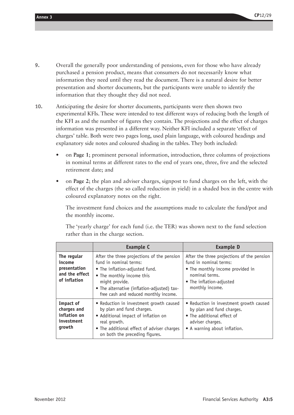- **9.** Overall the generally poor understanding of pensions, even for those who have already purchased a pension product, means that consumers do not necessarily know what information they need until they read the document. There is a natural desire for better presentation and shorter documents, but the participants were unable to identify the information that they thought they did not need.
- **10.** Anticipating the desire for shorter documents, participants were then shown two experimental KFIs. These were intended to test different ways of reducing both the length of the KFI as and the number of figures they contain. The projections and the effect of charges information was presented in a different way. Neither KFI included a separate 'effect of charges' table. Both were two pages long, used plain language, with coloured headings and explanatory side notes and coloured shading in the tables. They both included:
	- on **Page 1**; prominent personal information, introduction, three columns of projections in nominal terms at different rates to the end of years one, three, five and the selected retirement date; and
	- on **Page 2**; the plan and adviser charges, signpost to fund charges on the left, with the effect of the charges (the so called reduction in yield) in a shaded box in the centre with coloured explanatory notes on the right.

The investment fund choices and the assumptions made to calculate the fund/pot and the monthly income.

The 'yearly charge' for each fund (i.e. the TER) was shown next to the fund selection rather than in the charge section.

|                                                                         | <b>Example C</b>                                                                                                                                                                                                                              | <b>Example D</b>                                                                                                                                                          |
|-------------------------------------------------------------------------|-----------------------------------------------------------------------------------------------------------------------------------------------------------------------------------------------------------------------------------------------|---------------------------------------------------------------------------------------------------------------------------------------------------------------------------|
| The regular<br>income<br>presentation<br>and the effect<br>of inflation | After the three projections of the pension<br>fund in nominal terms:<br>• The inflation-adjusted fund.<br>• The monthly income this<br>might provide.<br>• The alternative (inflation-adjusted) tax-<br>free cash and reduced monthly income. | After the three projections of the pension<br>fund in nominal terms:<br>• The monthly income provided in<br>nominal terms.<br>• The inflation-adjusted<br>monthly income. |
| Impact of<br>charges and<br>inflation on<br>investment<br>growth        | • Reduction in investment growth caused<br>by plan and fund charges.<br>• Additional impact of inflation on<br>real growth.<br>• The additional effect of adviser charges<br>on both the preceding figures.                                   | • Reduction in investment growth caused<br>by plan and fund charges.<br>• The additional effect of<br>adviser charges.<br>• A warning about inflation.                    |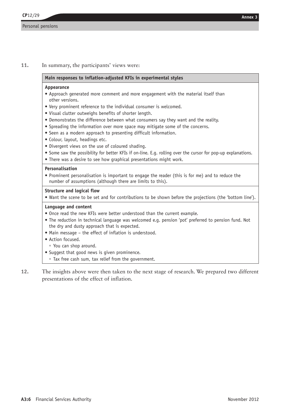### **11.** In summary, the participants' views were:

### **Main responses to inflation-adjusted KFIs in experimental styles**

### **Appearance**

- • Approach generated more comment and more engagement with the material itself than other versions.
- Very prominent reference to the individual consumer is welcomed.
- • Visual clutter outweighs benefits of shorter length.
- Demonstrates the difference between what consumers say they want and the reality.
- • Spreading the information over more space may mitigate some of the concerns.
- Seen as a modern approach to presenting difficult information.
- Colour, layout, headings etc.
- Divergent views on the use of coloured shading.
- • Some saw the possibility for better KFIs if on-line. E.g. rolling over the cursor for pop-up explanations.
- There was a desire to see how graphical presentations might work.

#### **Personalisation**

• Prominent personalisation is important to engage the reader (this is for me) and to reduce the number of assumptions (although there are limits to this).

### **Structure and logical flow**

• Want the scene to be set and for contributions to be shown before the projections (the 'bottom line').

### **Language and content**

- Once read the new KFIs were better understood than the current example.
- • The reduction in technical language was welcomed e.g. pension 'pot' preferred to pension fund. Not the dry and dusty approach that is expected.
- Main message the effect of inflation is understood.
- Action focused.
	- ° You can shop around.
- Suggest that good news is given prominence.
- ° Tax free cash sum, tax relief from the government.
- **12.** The insights above were then taken to the next stage of research. We prepared two different presentations of the effect of inflation.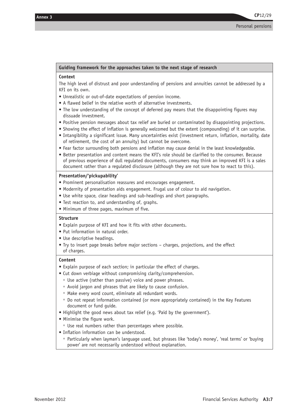#### **Guiding framework for the approaches taken to the next stage of research**

### **Context**

The high level of distrust and poor understanding of pensions and annuities cannot be addressed by a KFI on its own.

- Unrealistic or out-of-date expectations of pension income.
- A flawed belief in the relative worth of alternative investments.
- The low understanding of the concept of deferred pay means that the disappointing figures may dissuade investment.
- • Positive pension messages about tax relief are buried or contaminated by disappointing projections.
- • Showing the effect of inflation is generally welcomed but the extent (compounding) of it can surprise.
- • Intangibility a significant issue. Many uncertainties exist (investment return, inflation, mortality, date of retirement, the cost of an annuity) but cannot be overcome.
- Fear factor surrounding both pensions and inflation may cause denial in the least knowledgeable.
- • Better presentation and content means the KFI's role should be clarified to the consumer. Because of previous experience of dull regulated documents, consumers may think an improved KFI is a sales document rather than a regulated disclosure (although they are not sure how to react to this).

### **Presentation/'pickupability'**

- Prominent personalisation reassures and encourages engagement.
- Modernity of presentation aids engagement. Frugal use of colour to aid navigation.
- Use white space, clear headings and sub-headings and short paragraphs.
- Test reaction to, and understanding of, graphs.
- Minimum of three pages, maximum of five.

#### **Structure**

- Explain purpose of KFI and how it fits with other documents.
- Put information in natural order.
- Use descriptive headings.
- Try to insert page breaks before major sections charges, projections, and the effect of charges.

#### **Content**

- Explain purpose of each section; in particular the effect of charges.
- Cut down verbiage without compromising clarity/comprehension.
	- ° Use active (rather than passive) voice and power phrases.
	- ° Avoid jargon and phrases that are likely to cause confusion.
	- ° Make every word count, eliminate all redundant words.
	- ° Do not repeat information contained (or more appropriately contained) in the Key Features document or fund guide.
- Highlight the good news about tax relief (e.g. 'Paid by the government').
- • Minimise the figure work.
- ° Use real numbers rather than percentages where possible.
- Inflation information can be understood.
	- ° Particularly when layman's language used, but phrases like 'today's money', 'real terms' or 'buying power' are not necessarily understood without explanation.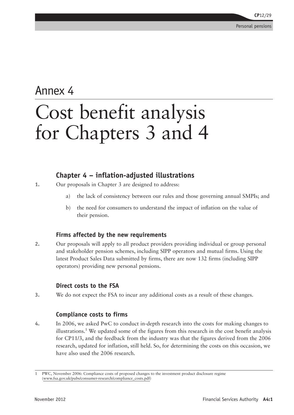# Annex 4 Cost benefit analysis for Chapters 3 and 4

# **Chapter 4 – inflation-adjusted illustrations**

- **1.** Our proposals in Chapter 3 are designed to address:
	- a) the lack of consistency between our rules and those governing annual SMPIs; and
	- b) the need for consumers to understand the impact of inflation on the value of their pension.

# **Firms affected by the new requirements**

**2.** Our proposals will apply to all product providers providing individual or group personal and stakeholder pension schemes, including SIPP operators and mutual firms. Using the latest Product Sales Data submitted by firms, there are now 132 firms (including SIPP operators) providing new personal pensions.

# **Direct costs to the FSA**

**3.** We do not expect the FSA to incur any additional costs as a result of these changes.

# **Compliance costs to firms**

**4.** In 2006, we asked PwC to conduct in-depth research into the costs for making changes to illustrations.<sup>1</sup> We updated some of the figures from this research in the cost benefit analysis for CP11/3, and the feedback from the industry was that the figures derived from the 2006 research, updated for inflation, still held. So, for determining the costs on this occasion, we have also used the 2006 research.

<sup>1</sup> PWC, November 2006: Compliance costs of proposed changes to the investment product disclosure regime (www.fsa.gov.uk/pubs/consumer-research/compliance\_costs.pdf)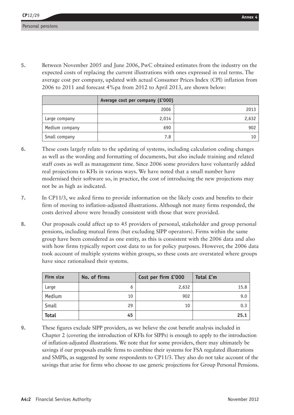Annex 4<br>Personal pensions<br>5. Between November 2005 and June 2006, PwC obtained estimates from the industry on the expected costs of replacing the current illustrations with ones expressed in real terms. The average cost per company, updated with actual Consumer Prices Index (CPI) inflation from 2006 to 2011 and forecast 4%pa from 2012 to April 2013, are shown below:

|                | Average cost per company (£'000) |       |
|----------------|----------------------------------|-------|
|                | 2006                             | 2013  |
| Large company  | 2,014                            | 2,632 |
| Medium company | 690                              | 902   |
| Small company  | 7.8                              | 10    |

- **6.** These costs largely relate to the updating of systems, including calculation coding changes as well as the wording and formatting of documents, but also include training and related staff costs as well as management time. Since 2006 some providers have voluntarily added real projections to KFIs in various ways. We have noted that a small number have modernised their software so, in practice, the cost of introducing the new projections may not be as high as indicated.
- **7.** In CP11/3, we asked firms to provide information on the likely costs and benefits to their firm of moving to inflation-adjusted illustrations. Although not many firms responded, the costs derived above were broadly consistent with those that were provided.
- **8.** Our proposals could affect up to 45 providers of personal, stakeholder and group personal pensions, including mutual firms (but excluding SIPP operators). Firms within the same group have been considered as one entity, as this is consistent with the 2006 data and also with how firms typically report cost data to us for policy purposes. However, the 2006 data took account of multiple systems within groups, so these costs are overstated where groups have since rationalised their systems.

| Firm size    | No. of firms | Cost per firm £'000 | Total £'m |
|--------------|--------------|---------------------|-----------|
| Large        | 6            | 2,632               | 15.8      |
| Medium       | 10           | 902                 | 9.0       |
| Small        | 29           | 10                  | 0.3       |
| <b>Total</b> | 45           |                     | 25.1      |

**9.** These figures exclude SIPP providers, as we believe the cost benefit analysis included in Chapter 2 (covering the introduction of KFIs for SIPPs) is enough to apply to the introduction of inflation-adjusted illustrations. We note that for some providers, there may ultimately be savings if our proposals enable firms to combine their systems for FSA regulated illustrations and SMPIs, as suggested by some respondents to CP11/3. They also do not take account of the savings that arise for firms who choose to use generic projections for Group Personal Pensions.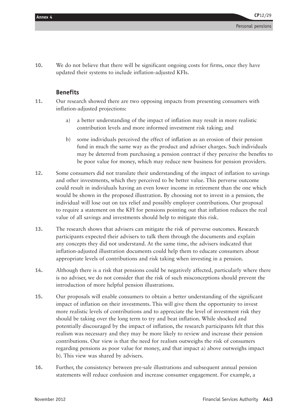**10.** We do not believe that there will be significant ongoing costs for firms, once they have updated their systems to include inflation-adjusted KFIs.

### **Benefits**

- **11.** Our research showed there are two opposing impacts from presenting consumers with inflation-adjusted projections:
	- a) a better understanding of the impact of inflation may result in more realistic contribution levels and more informed investment risk taking; and
	- b) some individuals perceived the effect of inflation as an erosion of their pension fund in much the same way as the product and adviser charges. Such individuals may be deterred from purchasing a pension contract if they perceive the benefits to be poor value for money, which may reduce new business for pension providers.
- **12.** Some consumers did not translate their understanding of the impact of inflation to savings and other investments, which they perceived to be better value. This perverse outcome could result in individuals having an even lower income in retirement than the one which would be shown in the proposed illustration. By choosing not to invest in a pension, the individual will lose out on tax relief and possibly employer contributions. Our proposal to require a statement on the KFI for pensions pointing out that inflation reduces the real value of all savings and investments should help to mitigate this risk.
- **13.** The research shows that advisers can mitigate the risk of perverse outcomes. Research participants expected their advisers to talk them through the documents and explain any concepts they did not understand. At the same time, the advisers indicated that inflation-adjusted illustration documents could help them to educate consumers about appropriate levels of contributions and risk taking when investing in a pension.
- **14.** Although there is a risk that pensions could be negatively affected, particularly where there is no adviser, we do not consider that the risk of such misconceptions should prevent the introduction of more helpful pension illustrations.
- **15.** Our proposals will enable consumers to obtain a better understanding of the significant impact of inflation on their investments. This will give them the opportunity to invest more realistic levels of contributions and to appreciate the level of investment risk they should be taking over the long term to try and beat inflation. While shocked and potentially discouraged by the impact of inflation, the research participants felt that this realism was necessary and they may be more likely to review and increase their pension contributions. Our view is that the need for realism outweighs the risk of consumers regarding pensions as poor value for money, and that impact a) above outweighs impact b). This view was shared by advisers.
- **16.** Further, the consistency between pre-sale illustrations and subsequent annual pension statements will reduce confusion and increase consumer engagement. For example, a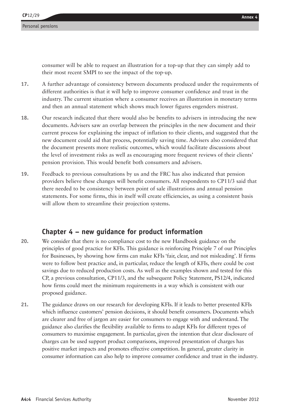consumer will be able to request an illustration for a top-up that they can simply add to their most recent SMPI to see the impact of the top-up.

- **17.** A further advantage of consistency between documents produced under the requirements of different authorities is that it will help to improve consumer confidence and trust in the industry. The current situation where a consumer receives an illustration in monetary terms and then an annual statement which shows much lower figures engenders mistrust.
- **18.** Our research indicated that there would also be benefits to advisers in introducing the new documents. Advisers saw an overlap between the principles in the new document and their current process for explaining the impact of inflation to their clients, and suggested that the new document could aid that process, potentially saving time. Advisers also considered that the document presents more realistic outcomes, which would facilitate discussions about the level of investment risks as well as encouraging more frequent reviews of their clients' pension provision. This would benefit both consumers and advisers.
- **19.** Feedback to previous consultations by us and the FRC has also indicated that pension providers believe these changes will benefit consumers. All respondents to CP11/3 said that there needed to be consistency between point of sale illustrations and annual pension statements. For some firms, this in itself will create efficiencies, as using a consistent basis will allow them to streamline their projection systems.

# **Chapter 4 – new guidance for product information**

- **20.** We consider that there is no compliance cost to the new Handbook guidance on the principles of good practice for KFIs. This guidance is reinforcing Principle 7 of our Principles for Businesses, by showing how firms can make KFIs 'fair, clear, and not misleading'. If firms were to follow best practice and, in particular, reduce the length of KFIs, there could be cost savings due to reduced production costs. As well as the examples shown and tested for this CP, a previous consultation, CP11/3, and the subsequent Policy Statement, PS12/4, indicated how firms could meet the minimum requirements in a way which is consistent with our proposed guidance.
- **21.** The guidance draws on our research for developing KFIs. If it leads to better presented KFIs which influence customers' pension decisions, it should benefit consumers. Documents which are clearer and free of jargon are easier for consumers to engage with and understand. The guidance also clarifies the flexibility available to firms to adapt KFIs for different types of consumers to maximise engagement. In particular, given the intention that clear disclosure of charges can be used support product comparisons, improved presentation of charges has positive market impacts and promotes effective competition. In general, greater clarity in consumer information can also help to improve consumer confidence and trust in the industry.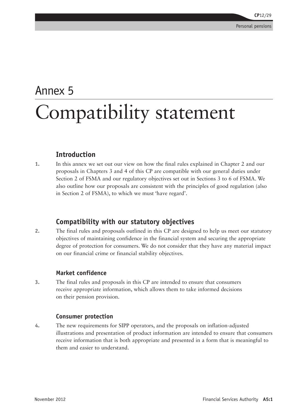# Annex 5 Compatibility statement

# **Introduction**

**1.** In this annex we set out our view on how the final rules explained in Chapter 2 and our proposals in Chapters 3 and 4 of this CP are compatible with our general duties under Section 2 of FSMA and our regulatory objectives set out in Sections 3 to 6 of FSMA. We also outline how our proposals are consistent with the principles of good regulation (also in Section 2 of FSMA), to which we must 'have regard'.

# **Compatibility with our statutory objectives**

**2.** The final rules and proposals outlined in this CP are designed to help us meet our statutory objectives of maintaining confidence in the financial system and securing the appropriate degree of protection for consumers. We do not consider that they have any material impact on our financial crime or financial stability objectives.

# **Market confidence**

**3.** The final rules and proposals in this CP are intended to ensure that consumers receive appropriate information, which allows them to take informed decisions on their pension provision.

### **Consumer protection**

**4.** The new requirements for SIPP operators, and the proposals on inflation-adjusted illustrations and presentation of product information are intended to ensure that consumers receive information that is both appropriate and presented in a form that is meaningful to them and easier to understand.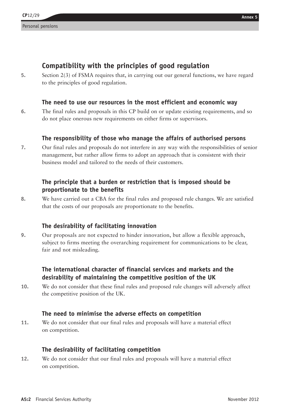# Annex 5<br> **Annex 5**<br> **Compatibility with the principles of good regulation**

**5.** Section 2(3) of FSMA requires that, in carrying out our general functions, we have regard to the principles of good regulation.

### **The need to use our resources in the most efficient and economic way**

**6.** The final rules and proposals in this CP build on or update existing requirements, and so do not place onerous new requirements on either firms or supervisors.

### **The responsibility of those who manage the affairs of authorised persons**

**7.** Our final rules and proposals do not interfere in any way with the responsibilities of senior management, but rather allow firms to adopt an approach that is consistent with their business model and tailored to the needs of their customers.

# **The principle that a burden or restriction that is imposed should be proportionate to the benefits**

**8.** We have carried out a CBA for the final rules and proposed rule changes. We are satisfied that the costs of our proposals are proportionate to the benefits.

### **The desirability of facilitating innovation**

**9.** Our proposals are not expected to hinder innovation, but allow a flexible approach, subject to firms meeting the overarching requirement for communications to be clear, fair and not misleading.

# **The international character of financial services and markets and the desirability of maintaining the competitive position of the UK**

**10.** We do not consider that these final rules and proposed rule changes will adversely affect the competitive position of the UK.

### **The need to minimise the adverse effects on competition**

**11.** We do not consider that our final rules and proposals will have a material effect on competition.

### **The desirability of facilitating competition**

**12.** We do not consider that our final rules and proposals will have a material effect on competition.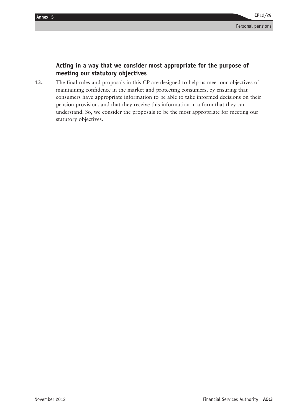# **Acting in a way that we consider most appropriate for the purpose of meeting our statutory objectives**

**13.** The final rules and proposals in this CP are designed to help us meet our objectives of maintaining confidence in the market and protecting consumers, by ensuring that consumers have appropriate information to be able to take informed decisions on their pension provision, and that they receive this information in a form that they can understand. So, we consider the proposals to be the most appropriate for meeting our statutory objectives.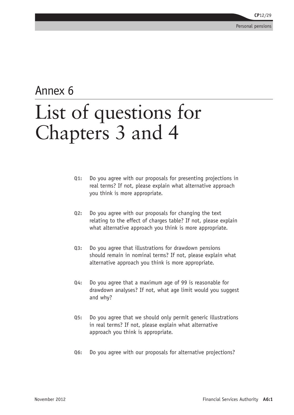# Annex 6 List of questions for Chapters 3 and 4

- **Q1:** Do you agree with our proposals for presenting projections in real terms? If not, please explain what alternative approach you think is more appropriate.
- **Q2:** Do you agree with our proposals for changing the text relating to the effect of charges table? If not, please explain what alternative approach you think is more appropriate.
- **Q3:** Do you agree that illustrations for drawdown pensions should remain in nominal terms? If not, please explain what alternative approach you think is more appropriate.
- **Q4:** Do you agree that a maximum age of 99 is reasonable for drawdown analyses? If not, what age limit would you suggest and why?
- **Q5:** Do you agree that we should only permit generic illustrations in real terms? If not, please explain what alternative approach you think is appropriate.
- **Q6:** Do you agree with our proposals for alternative projections?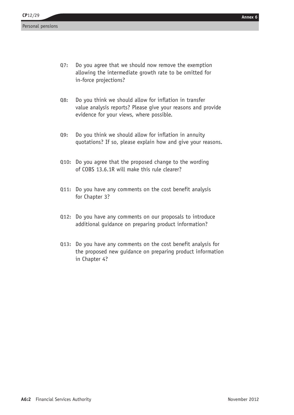- Annex 6<br>Q7: Do you agree that we should now remove the exemption allowing the intermediate growth rate to be omitted for in-force projections?
- **Q8:** Do you think we should allow for inflation in transfer value analysis reports? Please give your reasons and provide evidence for your views, where possible.
- **Q9:** Do you think we should allow for inflation in annuity quotations? If so, please explain how and give your reasons.
- **Q10:** Do you agree that the proposed change to the wording of COBS 13.6.1R will make this rule clearer?
- **Q11:** Do you have any comments on the cost benefit analysis for Chapter 3?
- **Q12:** Do you have any comments on our proposals to introduce additional guidance on preparing product information?
- **Q13:** Do you have any comments on the cost benefit analysis for the proposed new guidance on preparing product information in Chapter 4?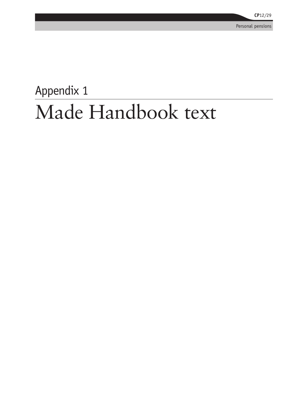Personal pensions

# Appendix 1 Made Handbook text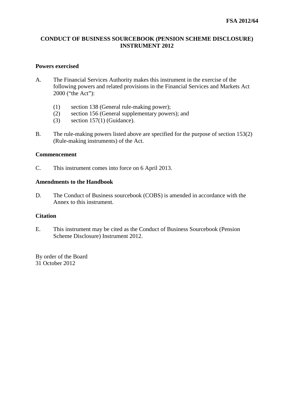### **CONDUCT OF BUSINESS SOURCEBOOK (PENSION SCHEME DISCLOSURE) INSTRUMENT 2012**

### **Powers exercised**

- A. The Financial Services Authority makes this instrument in the exercise of the following powers and related provisions in the Financial Services and Markets Act 2000 ("the Act"):
	- (1) section 138 (General rule-making power);
	- (2) section 156 (General supplementary powers); and
	- (3) section 157(1) (Guidance).
- B. The rule-making powers listed above are specified for the purpose of section 153(2) (Rule-making instruments) of the Act.

### **Commencement**

C. This instrument comes into force on 6 April 2013.

### **Amendments to the Handbook**

D. The Conduct of Business sourcebook (COBS) is amended in accordance with the Annex to this instrument.

### **Citation**

E. This instrument may be cited as the Conduct of Business Sourcebook (Pension Scheme Disclosure) Instrument 2012.

By order of the Board 31 October 2012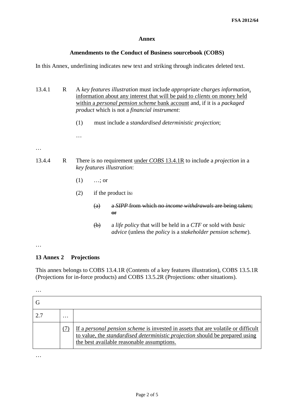### **Annex**

### **Amendments to the Conduct of Business sourcebook (COBS)**

In this Annex, underlining indicates new text and striking through indicates deleted text.

| 13.4.1      | R |                                                                                                              | A key features illustration must include appropriate charges information,<br>information about any interest that will be paid to <i>clients</i> on money held<br>within a personal pension scheme bank account and, if it is a packaged<br><i>product</i> which is not a <i>financial instrument</i> : |                                                                                                                                                                |
|-------------|---|--------------------------------------------------------------------------------------------------------------|--------------------------------------------------------------------------------------------------------------------------------------------------------------------------------------------------------------------------------------------------------------------------------------------------------|----------------------------------------------------------------------------------------------------------------------------------------------------------------|
|             |   | (1)                                                                                                          |                                                                                                                                                                                                                                                                                                        | must include a <i>standardised deterministic projection</i> ;                                                                                                  |
|             |   |                                                                                                              |                                                                                                                                                                                                                                                                                                        |                                                                                                                                                                |
|             |   |                                                                                                              |                                                                                                                                                                                                                                                                                                        |                                                                                                                                                                |
| 13.4.4<br>R |   | There is no requirement under COBS 13.4.1R to include a <i>projection</i> in a<br>key features illustration: |                                                                                                                                                                                                                                                                                                        |                                                                                                                                                                |
|             |   | (1)                                                                                                          | $\ldots$ ; or                                                                                                                                                                                                                                                                                          |                                                                                                                                                                |
|             |   | (2)                                                                                                          |                                                                                                                                                                                                                                                                                                        | if the product is:                                                                                                                                             |
|             |   |                                                                                                              | (a)                                                                                                                                                                                                                                                                                                    | a SIPP from which no <i>income withdrawals</i> are being taken;<br>$\Theta$ <b>F</b>                                                                           |
|             |   |                                                                                                              | $\Theta$                                                                                                                                                                                                                                                                                               | a <i>life policy</i> that will be held in a CTF or sold with <i>basic</i><br><i>advice</i> (unless the <i>policy</i> is a <i>stakeholder pension scheme</i> ). |
|             |   |                                                                                                              |                                                                                                                                                                                                                                                                                                        |                                                                                                                                                                |

### **13 Annex 2 Projections**

This annex belongs to COBS 13.4.1R (Contents of a key features illustration), COBS 13.5.1R (Projections for in-force products) and COBS 13.5.2R (Projections: other situations).

…

| $\cdot\cdot\cdot$ |                                                                                                                                                                                                                               |
|-------------------|-------------------------------------------------------------------------------------------------------------------------------------------------------------------------------------------------------------------------------|
|                   | If a <i>personal pension scheme</i> is invested in assets that are volatile or difficult<br>to value, the <i>standardised deterministic projection</i> should be prepared using<br>the best available reasonable assumptions. |

…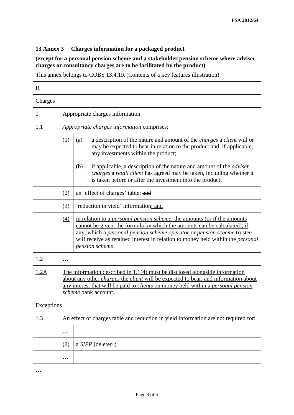### **13 Annex 3 Charges information for a packaged product**

### **(except for a personal pension scheme and a stakeholder pension scheme where adviser charges or consultancy charges are to be facilitated by the product)**

This annex belongs to COBS 13.4.1R (Contents of a key features illustration)

| $\mathbf R$ |                  |                                                                                                                                                                                                                                                                                                                                                      |  |  |
|-------------|------------------|------------------------------------------------------------------------------------------------------------------------------------------------------------------------------------------------------------------------------------------------------------------------------------------------------------------------------------------------------|--|--|
| Charges     |                  |                                                                                                                                                                                                                                                                                                                                                      |  |  |
| 1           |                  | Appropriate charges information                                                                                                                                                                                                                                                                                                                      |  |  |
| 1.1         |                  | Appropriate charges information comprises:                                                                                                                                                                                                                                                                                                           |  |  |
|             | (1)              | a description of the nature and amount of the <i>charges</i> a <i>client</i> will or<br>(a)<br>may be expected to bear in relation to the product and, if applicable,<br>any investments within the product;                                                                                                                                         |  |  |
|             |                  | (b)<br>if applicable, a description of the nature and amount of the <i>adviser</i><br>charges a retail client has agreed may be taken, including whether it<br>is taken before or after the investment into the product;                                                                                                                             |  |  |
|             | (2)              | an 'effect of charges' table; and                                                                                                                                                                                                                                                                                                                    |  |  |
|             | (3)              | 'reduction in yield' information; and                                                                                                                                                                                                                                                                                                                |  |  |
|             | $\left(4\right)$ | in relation to a <i>personal pension scheme</i> , the amounts (or if the amounts<br>cannot be given, the formula by which the amounts can be calculated), if<br>any, which a personal pension scheme operator or pension scheme trustee<br>will receive as retained interest in relation to money held within the <i>personal</i><br>pension scheme. |  |  |
| 1.2         | $\ddotsc$        |                                                                                                                                                                                                                                                                                                                                                      |  |  |
| 1.2A        |                  | The information described in $1.1(4)$ must be disclosed alongside information<br>about any other <i>charges</i> the <i>client</i> will be expected to bear, and information about<br>any interest that will be paid to <i>clients</i> on money held within a <i>personal pension</i><br>scheme bank account.                                         |  |  |
| Exceptions  |                  |                                                                                                                                                                                                                                                                                                                                                      |  |  |
| 1.3         |                  | An effect of charges table and reduction in yield information are not required for:                                                                                                                                                                                                                                                                  |  |  |
|             | .                |                                                                                                                                                                                                                                                                                                                                                      |  |  |
|             | (2)              | a SIPP [deleted];                                                                                                                                                                                                                                                                                                                                    |  |  |
|             | .                |                                                                                                                                                                                                                                                                                                                                                      |  |  |

…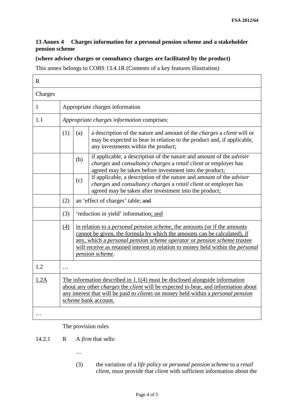### **13 Annex 4 Charges information for a personal pension scheme and a stakeholder pension scheme**

### **(where adviser charges or consultancy charges are facilitated by the product)**

This annex belongs to COBS 13.4.1R (Contents of a key features illustration)

| $\mathbb{R}$ |          |                                                                                                                                                                                                                                                                                                                                                      |  |  |
|--------------|----------|------------------------------------------------------------------------------------------------------------------------------------------------------------------------------------------------------------------------------------------------------------------------------------------------------------------------------------------------------|--|--|
| Charges      |          |                                                                                                                                                                                                                                                                                                                                                      |  |  |
| 1            |          | Appropriate charges information                                                                                                                                                                                                                                                                                                                      |  |  |
| 1.1          |          | Appropriate charges information comprises:                                                                                                                                                                                                                                                                                                           |  |  |
|              | (1)      | a description of the nature and amount of the <i>charges</i> a <i>client</i> will or<br>(a)<br>may be expected to bear in relation to the product and, if applicable,<br>any investments within the product;                                                                                                                                         |  |  |
|              |          | if applicable, a description of the nature and amount of the $\overline{adviser}$<br>(b)<br>charges and consultancy charges a retail client or employer has<br>agreed may be taken before investment into the product;                                                                                                                               |  |  |
|              |          | if applicable, a description of the nature and amount of the <i>adviser</i><br>(c)<br>charges and consultancy charges a retail client or employer has<br>agreed may be taken after investment into the product;                                                                                                                                      |  |  |
|              | (2)      | an 'effect of charges' table; and                                                                                                                                                                                                                                                                                                                    |  |  |
|              | (3)      | 'reduction in yield' information; and                                                                                                                                                                                                                                                                                                                |  |  |
|              | (4)      | in relation to a <i>personal pension scheme</i> , the amounts (or if the amounts<br>cannot be given, the formula by which the amounts can be calculated), if<br>any, which a personal pension scheme operator or pension scheme trustee<br>will receive as retained interest in relation to money held within the <i>personal</i><br>pension scheme. |  |  |
| 1.2          | $\cdots$ |                                                                                                                                                                                                                                                                                                                                                      |  |  |
| 1.2A         |          | The information described in $1.1(4)$ must be disclosed alongside information<br>about any other <i>charges</i> the <i>client</i> will be expected to bear, and information about<br>any interest that will be paid to <i>clients</i> on money held within a <i>personal pension</i><br>scheme bank account.                                         |  |  |
|              |          |                                                                                                                                                                                                                                                                                                                                                      |  |  |

### The provision rules

14.2.1 R A *firm* that sells:

- …
- (3) the variation of a *life policy* or *personal pension scheme* to a *retail client*, must provide that *client* with sufficient information about the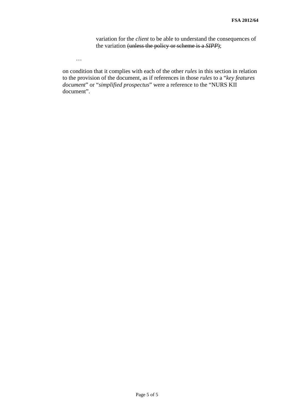variation for the *client* to be able to understand the consequences of the variation (unless the policy or scheme is a *SIPP*);

…

on condition that it complies with each of the other *rules* in this section in relation to the provision of the document, as if references in those *rules* to a "*key features document*" or "*simplified prospectus*" were a reference to the "NURS KII document".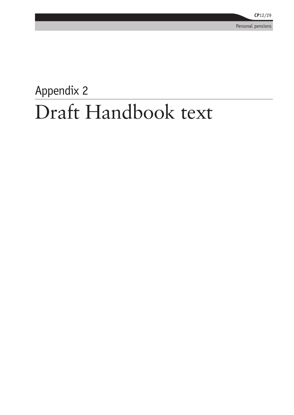Personal pensions

# Appendix 2 Draft Handbook text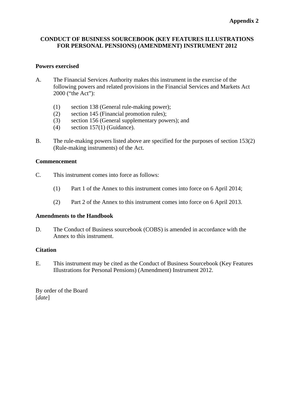### **CONDUCT OF BUSINESS SOURCEBOOK (KEY FEATURES ILLUSTRATIONS FOR PERSONAL PENSIONS) (AMENDMENT) INSTRUMENT 2012**

### **Powers exercised**

- A. The Financial Services Authority makes this instrument in the exercise of the following powers and related provisions in the Financial Services and Markets Act 2000 ("the Act"):
	- (1) section 138 (General rule-making power);
	- (2) section 145 (Financial promotion rules);
	- (3) section 156 (General supplementary powers); and
	- (4) section 157(1) (Guidance).
- B. The rule-making powers listed above are specified for the purposes of section 153(2) (Rule-making instruments) of the Act.

### **Commencement**

- C. This instrument comes into force as follows:
	- (1) Part 1 of the Annex to this instrument comes into force on 6 April 2014;
	- (2) Part 2 of the Annex to this instrument comes into force on 6 April 2013.

### **Amendments to the Handbook**

D. The Conduct of Business sourcebook (COBS) is amended in accordance with the Annex to this instrument.

### **Citation**

E. This instrument may be cited as the Conduct of Business Sourcebook (Key Features Illustrations for Personal Pensions) (Amendment) Instrument 2012.

By order of the Board [*date*]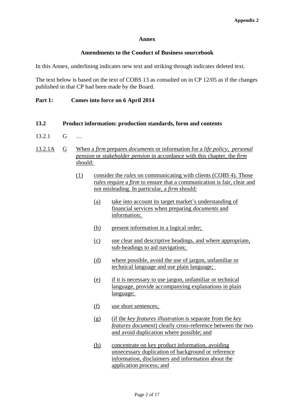### **Annex**

### **Amendments to the Conduct of Business sourcebook**

In this Annex, underlining indicates new text and striking through indicates deleted text.

The text below is based on the text of COBS 13 as consulted on in CP 12/05 as if the changes published in that CP had been made by the Board.

### **Part 1: Comes into force on 6 April 2014**

- **13.2 Product information: production standards, form and contents**
- 13.2.1 G …
- 13.2.1A G When a *firm* prepares *documents* or information for a *life policy*, *personal pension* or *stakeholder pension* in accordance with this chapter, the *firm* should:
	- (1) consider the *rules* on communicating with clients (*COBS* 4). Those *rules* require a *firm* to ensure that a communication is fair, clear and not misleading. In particular, a *firm* should:
		- (a) take into account its target market's understanding of financial services when preparing *documents* and information;
		- (b) present information in a logical order;
		- (c) use clear and descriptive headings, and where appropriate, sub-headings to aid navigation;
		- (d) where possible, avoid the use of jargon, unfamiliar or technical language and use plain language;
		- (e) if it is necessary to use jargon, unfamiliar or technical language, provide accompanying explanations in plain language;
		- (f) use short sentences;
		- (g) (if the *key features illustration* is separate from the *key features document*) clearly cross-reference between the two and avoid duplication where possible; and
		- (h) concentrate on key product information, avoiding unnecessary duplication of background or reference information, disclaimers and information about the application process; and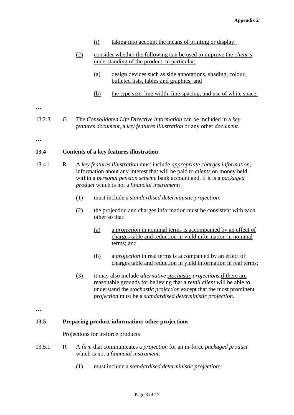- (i) taking into account the means of printing or display.
- (2) consider whether the following can be used to improve the *client's* understanding of the product, in particular:
	- (a) design devices such as side annotations, shading, colour, bulleted lists, tables and graphics; and
	- (b) the type size, line width, line spacing, and use of white space.

…

13.2.3 G The *Consolidated Life Directive information* can be included in a *key features document*, a *key features illustration* or any other *document*.

…

### **13.4 Contents of a key features illustration**

- 13.4.1 R A *key features illustration* must include *appropriate charges information*, information about any interest that will be paid to *clients* on money held within a *personal pension scheme* bank account and, if it is a *packaged product* which is not a *financial instrument*:
	- (1) must include a *standardised deterministic projection*;
	- (2) the projection and charges information must be consistent with each other so that:
		- (a) a *projection* in nominal terms is accompanied by an effect of charges table and reduction in yield information in nominal terms; and
		- (b) a *projection* in real terms is accompanied by an effect of charges table and reduction in yield information in real terms;
	- (3) it may also include *alternative stochastic projections* if there are reasonable grounds for believing that a *retail client w*ill be able to understand the *stochastic projection* except that the most prominent *projection* must be a *standardised deterministic projection*.

…

### **13.5 Preparing product information: other projections**

Projections for in-force products

- 13.5.1 R A *firm* that communicates a *projection* for an in-force *packaged product* which is not a *financial instrument*:
	- (1) must include a *standardised deterministic projection*;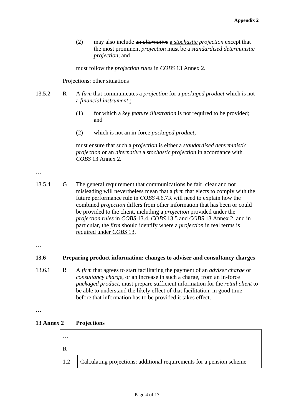(2) may also include an *alternative* a *stochastic projection* except that the most prominent *projection* must be a *standardised deterministic projection*; and

must follow the *projection rules* in *COBS* 13 Annex 2.

Projections: other situations

- 13.5.2 R A *firm* that communicates a *projection* for a *packaged product* which is not a *financial instrument*,:
	- (1) for which a *key feature illustration* is not required to be provided; and
	- (2) which is not an in-force *packaged product*;

must ensure that such a *projection* is either a *standardised deterministic projection* or an *alternative* a *stochastic projection* in accordance with *COBS* 13 Annex 2.

### …

13.5.4 G The general requirement that communications be fair, clear and not misleading will nevertheless mean that a *firm* that elects to comply with the future performance rule in *COBS* 4.6.7R will need to explain how the combined *projection* differs from other information that has been or could be provided to the client, including a *projection* provided under the *projection rules* in *COBS* 13.4, *COBS* 13.5 and *COBS* 13 Annex 2, and in particular, the *firm* should identify where a *projection* in real terms is required under *COBS* 13.

…

### **13.6 Preparing product information: changes to adviser and consultancy charges**

13.6.1 R A *firm* that agrees to start facilitating the payment of an *adviser charge* or *consultancy charge*, or an increase in such a charge, from an in-force *packaged product*, must prepare sufficient information for the *retail client* to be able to understand the likely effect of that facilitation, in good time before that information has to be provided it takes effect.

<sup>…</sup> 

| 13 Annex 2 | <b>Projections</b> |
|------------|--------------------|
|------------|--------------------|

| $\cdots$    |                                                                       |
|-------------|-----------------------------------------------------------------------|
|             |                                                                       |
| $\vert$ 1.2 | Calculating projections: additional requirements for a pension scheme |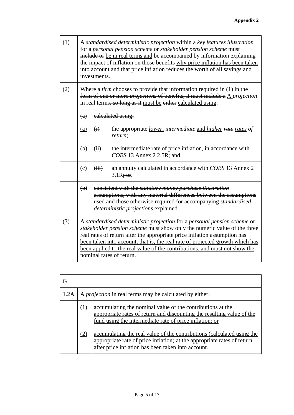| (1) |                                                                                                                                                                                                                                                          | A standardised deterministic projection within a key features illustration<br>for a personal pension scheme or stakeholder pension scheme must<br>include or be in real terms and be accompanied by information explaining<br>the impact of inflation on those benefits why price inflation has been taken<br>into account and that price inflation reduces the worth of all savings and<br>investments.                     |                                                                                                                                                                                                                                                   |  |
|-----|----------------------------------------------------------------------------------------------------------------------------------------------------------------------------------------------------------------------------------------------------------|------------------------------------------------------------------------------------------------------------------------------------------------------------------------------------------------------------------------------------------------------------------------------------------------------------------------------------------------------------------------------------------------------------------------------|---------------------------------------------------------------------------------------------------------------------------------------------------------------------------------------------------------------------------------------------------|--|
| (2) | Where a <i>firm</i> chooses to provide that information required in $(1)$ in the<br>form of one or more <i>projections</i> of benefits, it must include a $\triangle$ <i>projection</i><br>in real terms, so long as it must be either calculated using: |                                                                                                                                                                                                                                                                                                                                                                                                                              |                                                                                                                                                                                                                                                   |  |
|     | (a)                                                                                                                                                                                                                                                      |                                                                                                                                                                                                                                                                                                                                                                                                                              | ealeulated using:                                                                                                                                                                                                                                 |  |
|     | (a)                                                                                                                                                                                                                                                      | $\ddot{a}$                                                                                                                                                                                                                                                                                                                                                                                                                   | the appropriate <i>lower</i> , <i>intermediate</i> and <i>higher</i> rate rates of<br>return;                                                                                                                                                     |  |
|     | (b)                                                                                                                                                                                                                                                      | (ii)                                                                                                                                                                                                                                                                                                                                                                                                                         | the intermediate rate of price inflation, in accordance with<br>COBS 13 Annex 2 2.5R; and                                                                                                                                                         |  |
|     | (c)                                                                                                                                                                                                                                                      | (iii)                                                                                                                                                                                                                                                                                                                                                                                                                        | an annuity calculated in accordance with COBS 13 Annex 2<br>$3.1R$ ; or.                                                                                                                                                                          |  |
|     | $\left(\mathbf{b}\right)$                                                                                                                                                                                                                                |                                                                                                                                                                                                                                                                                                                                                                                                                              | consistent with the <i>statutory money purchase illustration</i><br>assumptions, with any material differences between the assumptions<br>used and those otherwise required for accompanying standardised<br>deterministic projections explained. |  |
| (3) |                                                                                                                                                                                                                                                          | A standardised deterministic projection for a personal pension scheme or<br>stakeholder pension scheme must show only the numeric value of the three<br>real rates of return after the appropriate price inflation assumption has<br>been taken into account, that is, the real rate of projected growth which has<br>been applied to the real value of the contributions, and must not show the<br>nominal rates of return. |                                                                                                                                                                                                                                                   |  |

| 1.2A |     | A <i>projection</i> in real terms may be calculated by either:                                                                                                                                          |  |  |
|------|-----|---------------------------------------------------------------------------------------------------------------------------------------------------------------------------------------------------------|--|--|
|      | (1) | accumulating the nominal value of the contributions at the<br>appropriate rates of return and discounting the resulting value of the<br>fund using the intermediate rate of price inflation; or         |  |  |
|      | (2) | accumulating the real value of the contributions (calculated using the<br>appropriate rate of price inflation) at the appropriate rates of return<br>after price inflation has been taken into account. |  |  |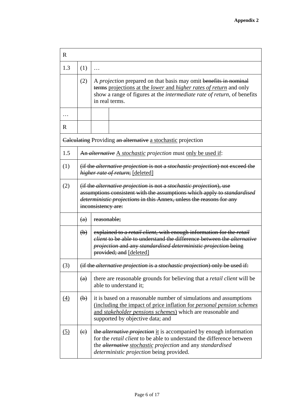| $\mathbf R$ |                                                                                                                                                                                                                                                                          |                                                                                                                                                                                                                                                                            |  |
|-------------|--------------------------------------------------------------------------------------------------------------------------------------------------------------------------------------------------------------------------------------------------------------------------|----------------------------------------------------------------------------------------------------------------------------------------------------------------------------------------------------------------------------------------------------------------------------|--|
| 1.3         | (1)                                                                                                                                                                                                                                                                      | .                                                                                                                                                                                                                                                                          |  |
|             | (2)                                                                                                                                                                                                                                                                      | A <i>projection</i> prepared on that basis may omit benefits in nominal<br>terms projections at the <i>lower</i> and <i>higher rates of return</i> and only<br>show a range of figures at the <i>intermediate rate of return</i> , of benefits<br>in real terms.           |  |
| .           |                                                                                                                                                                                                                                                                          |                                                                                                                                                                                                                                                                            |  |
| R           |                                                                                                                                                                                                                                                                          |                                                                                                                                                                                                                                                                            |  |
|             |                                                                                                                                                                                                                                                                          | <b>Calculating Providing an alternative a stochastic projection</b>                                                                                                                                                                                                        |  |
| 1.5         |                                                                                                                                                                                                                                                                          | An alternative A stochastic projection must only be used if:                                                                                                                                                                                                               |  |
| (1)         |                                                                                                                                                                                                                                                                          | (if the <i>alternative projection</i> is not a <i>stochastic projection</i> ) not exceed the<br>higher rate of return; [deleted]                                                                                                                                           |  |
| (2)         | (if the <i>alternative projection</i> is not a <i>stochastic projection</i> ), use<br>assumptions consistent with the assumptions which apply to <i>standardised</i><br><i>deterministic projections</i> in this Annex, unless the reasons for any<br>inconsistency are: |                                                                                                                                                                                                                                                                            |  |
|             | (a)                                                                                                                                                                                                                                                                      | reasonable;                                                                                                                                                                                                                                                                |  |
|             | $\left(\mathbf{b}\right)$                                                                                                                                                                                                                                                | explained to a <i>retail client</i> , with enough information for the <i>retail</i><br><i>client</i> to be able to understand the difference between the <i>alternative</i><br>projection and any standardised deterministic projection being<br>provided; and [deleted]   |  |
| (3)         |                                                                                                                                                                                                                                                                          | (if the alternative projection is a stochastic projection) only be used if:                                                                                                                                                                                                |  |
|             | (a)                                                                                                                                                                                                                                                                      | there are reasonable grounds for believing that a <i>retail client</i> will be<br>able to understand it;                                                                                                                                                                   |  |
| (4)         | $\left(\mathbf{b}\right)$                                                                                                                                                                                                                                                | it is based on a reasonable number of simulations and assumptions<br>(including the impact of price inflation for <i>personal pension schemes</i><br>and <i>stakeholder pensions schemes</i> ) which are reasonable and<br>supported by objective data; and                |  |
| (5)         | (e)                                                                                                                                                                                                                                                                      | the <i>alternative projection</i> it is accompanied by enough information<br>for the <i>retail client</i> to be able to understand the difference between<br>the <i>alternative</i> stochastic projection and any standardised<br>deterministic projection being provided. |  |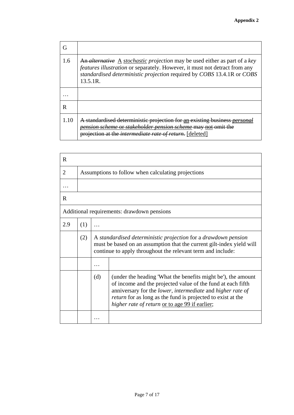| 1.6  | An <i>alternative</i> A <i>stochastic projection</i> may be used either as part of a key<br><i>features illustration</i> or separately. However, it must not detract from any<br>standardised deterministic projection required by COBS 13.4.1R or COBS<br>13.5.1R. |
|------|---------------------------------------------------------------------------------------------------------------------------------------------------------------------------------------------------------------------------------------------------------------------|
|      |                                                                                                                                                                                                                                                                     |
| R    |                                                                                                                                                                                                                                                                     |
| 1.10 | standardised deterministic projection for an existing business p<br>er pension scheme mav not<br>projection at the <i>intermediate rate of return</i> .<br>[deleted]                                                                                                |

| R              |                                                    |     |                                                                                                                                                                                                                                                                                                                   |
|----------------|----------------------------------------------------|-----|-------------------------------------------------------------------------------------------------------------------------------------------------------------------------------------------------------------------------------------------------------------------------------------------------------------------|
| $\overline{2}$ | Assumptions to follow when calculating projections |     |                                                                                                                                                                                                                                                                                                                   |
| .              |                                                    |     |                                                                                                                                                                                                                                                                                                                   |
| R.             |                                                    |     |                                                                                                                                                                                                                                                                                                                   |
|                |                                                    |     | Additional requirements: drawdown pensions                                                                                                                                                                                                                                                                        |
| 2.9            | (1)                                                |     |                                                                                                                                                                                                                                                                                                                   |
|                | (2)                                                |     | A standardised deterministic projection for a drawdown pension<br>must be based on an assumption that the current gilt-index yield will<br>continue to apply throughout the relevant term and include:                                                                                                            |
|                |                                                    |     |                                                                                                                                                                                                                                                                                                                   |
|                |                                                    | (d) | (under the heading 'What the benefits might be'), the amount<br>of income and the projected value of the fund at each fifth<br>anniversary for the lower, intermediate and higher rate of<br><i>return</i> for as long as the fund is projected to exist at the<br>higher rate of return or to age 99 if earlier; |
|                |                                                    |     |                                                                                                                                                                                                                                                                                                                   |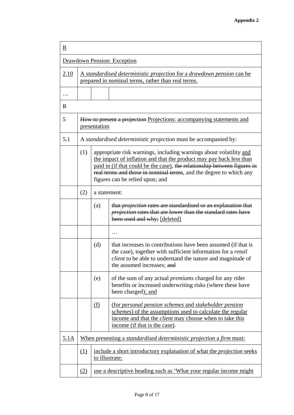| R           |                                                                                                                                    |                |                                                                                                                                                                                                                                                                                                                                |
|-------------|------------------------------------------------------------------------------------------------------------------------------------|----------------|--------------------------------------------------------------------------------------------------------------------------------------------------------------------------------------------------------------------------------------------------------------------------------------------------------------------------------|
|             |                                                                                                                                    |                | Drawdown Pension: Exception                                                                                                                                                                                                                                                                                                    |
| 2.10        | <u>A standardised deterministic projection for a drawdown pension can be</u><br>prepared in nominal terms, rather than real terms. |                |                                                                                                                                                                                                                                                                                                                                |
|             |                                                                                                                                    |                |                                                                                                                                                                                                                                                                                                                                |
| R           |                                                                                                                                    |                |                                                                                                                                                                                                                                                                                                                                |
| 5           |                                                                                                                                    | presentation   | How to present a projection Projections: accompanying statements and                                                                                                                                                                                                                                                           |
| 5.1         |                                                                                                                                    |                | A standardised deterministic projection must be accompanied by:                                                                                                                                                                                                                                                                |
|             | (1)                                                                                                                                |                | appropriate risk warnings, including warnings about volatility and<br>the impact of inflation and that the product may pay back less than<br>paid in (if that could be the case), the relationship between figures in<br>real terms and those in nominal terms, and the degree to which any<br>figures can be relied upon; and |
|             | (2)                                                                                                                                | a statement:   |                                                                                                                                                                                                                                                                                                                                |
|             |                                                                                                                                    | (a)            | that <i>projection</i> rates are standardised or an explanation that<br>projection rates that are lower than the standard rates have<br>been used and why; [deleted]                                                                                                                                                           |
|             |                                                                                                                                    |                |                                                                                                                                                                                                                                                                                                                                |
|             |                                                                                                                                    | (d)            | that increases in contributions have been assumed (if that is<br>the case), together with sufficient information for a <i>retail</i><br><i>client</i> to be able to understand the nature and magnitude of<br>the assumed increases; and                                                                                       |
|             |                                                                                                                                    | (e)            | of the sum of any actual <i>premiums</i> charged for any rider<br>benefits or increased underwriting risks (where these have<br>been charged); and                                                                                                                                                                             |
|             |                                                                                                                                    | <u>(f)</u>     | (for personal pension schemes and stakeholder pension<br><i>schemes</i> ) of the assumptions used to calculate the regular<br>income and that the <i>client</i> may choose when to take this<br>income (if that is the case).                                                                                                  |
| <u>5.1A</u> |                                                                                                                                    |                | <u>When presenting a standardised deterministic projection a firm must:</u>                                                                                                                                                                                                                                                    |
|             | (1)                                                                                                                                | to illustrate; | include a short introductory explanation of what the <i>projection</i> seeks                                                                                                                                                                                                                                                   |
|             | (2)                                                                                                                                |                | use a descriptive heading such as 'What your regular income might                                                                                                                                                                                                                                                              |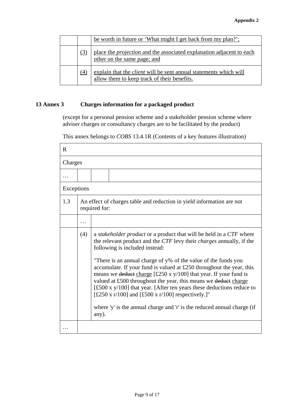|     | be worth in future or 'What might I get back from my plan?';                                                            |
|-----|-------------------------------------------------------------------------------------------------------------------------|
| (3) | place the <i>projection</i> and the associated explanation adjacent to each<br>other on the same page; and              |
| (4) | explain that the <i>client</i> will be sent annual statements which will<br>allow them to keep track of their benefits. |

### **13 Annex 3 Charges information for a packaged product**

(except for a personal pension scheme and a stakeholder pension scheme where adviser charges or consultancy charges are to be facilitated by the product)

This annex belongs to *COBS* 13.4.1R (Contents of a key features illustration)

| R          |     |                                                                                                                                                                                                                                                                                                                                               |
|------------|-----|-----------------------------------------------------------------------------------------------------------------------------------------------------------------------------------------------------------------------------------------------------------------------------------------------------------------------------------------------|
| Charges    |     |                                                                                                                                                                                                                                                                                                                                               |
|            |     |                                                                                                                                                                                                                                                                                                                                               |
| Exceptions |     |                                                                                                                                                                                                                                                                                                                                               |
| 1.3        |     | An effect of charges table and reduction in yield information are not<br>required for:                                                                                                                                                                                                                                                        |
|            | .   |                                                                                                                                                                                                                                                                                                                                               |
|            | (4) | a <i>stakeholder product</i> or a product that will be held in a CTF where<br>the relevant product and the CTF levy their <i>charges</i> annually, if the<br>following is included instead:<br>"There is an annual charge of y% of the value of the funds you                                                                                 |
|            |     | accumulate. If your fund is valued at £250 throughout the year, this<br>means we deduct charge $[£250 x y/100]$ that year. If your fund is<br>valued at £500 throughout the year, this means we deduct charge<br>$[£500 x y/100]$ that year. [After ten years these deductions reduce to<br>[£250 x r/100] and [£500 x r/100] respectively.]" |
|            |     | where 'y' is the annual charge and 'r' is the reduced annual charge (if<br>any).                                                                                                                                                                                                                                                              |
|            |     |                                                                                                                                                                                                                                                                                                                                               |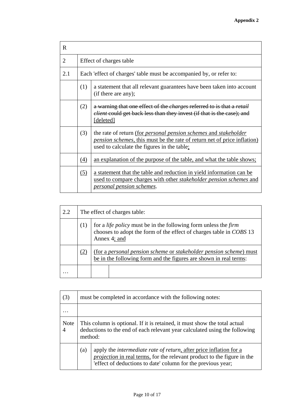| $\mathbf R$ |                                                                     |                                                                                                                                                                                                                   |  |
|-------------|---------------------------------------------------------------------|-------------------------------------------------------------------------------------------------------------------------------------------------------------------------------------------------------------------|--|
| 2           |                                                                     | Effect of charges table                                                                                                                                                                                           |  |
| 2.1         | Each 'effect of charges' table must be accompanied by, or refer to: |                                                                                                                                                                                                                   |  |
|             | (1)                                                                 | a statement that all relevant guarantees have been taken into account<br>(if there are any);                                                                                                                      |  |
|             | (2)                                                                 | a warning that one effect of the <i>charges</i> referred to is that a <i>retail</i><br><i>elient</i> could get back less than they invest (if that is the case); and<br>[deleted]                                 |  |
|             | (3)                                                                 | the rate of return (for <i>personal pension schemes</i> and <i>stakeholder</i><br><i>pension schemes</i> , this must be the rate of return net of price inflation)<br>used to calculate the figures in the table; |  |
|             | (4)                                                                 | an explanation of the purpose of the table, and what the table shows;                                                                                                                                             |  |
|             | (5)                                                                 | a statement that the table and reduction in yield information can be<br>used to compare charges with other <i>stakeholder pension schemes</i> and<br>personal pension schemes.                                    |  |

| 2.2               |     | The effect of charges table:                                                                                                                                         |  |  |
|-------------------|-----|----------------------------------------------------------------------------------------------------------------------------------------------------------------------|--|--|
|                   | (1) | for a <i>life policy</i> must be in the following form unless the <i>firm</i><br>chooses to adopt the form of the effect of charges table in COBS 13<br>Annex 4; and |  |  |
|                   | (2) | (for a personal pension scheme or stakeholder pension scheme) must<br>be in the following form and the figures are shown in real terms:                              |  |  |
| $\cdot\cdot\cdot$ |     |                                                                                                                                                                      |  |  |

| (3)         |                                                                                                                                                                    | must be completed in accordance with the following notes:                                                                                                                                                            |  |  |
|-------------|--------------------------------------------------------------------------------------------------------------------------------------------------------------------|----------------------------------------------------------------------------------------------------------------------------------------------------------------------------------------------------------------------|--|--|
|             |                                                                                                                                                                    |                                                                                                                                                                                                                      |  |  |
| <b>Note</b> | This column is optional. If it is retained, it must show the total actual<br>deductions to the end of each relevant year calculated using the following<br>method: |                                                                                                                                                                                                                      |  |  |
|             | (a)                                                                                                                                                                | apply the intermediate rate of return, after price inflation for a<br><i>projection</i> in real terms, for the relevant product to the figure in the<br>'effect of deductions to date' column for the previous year; |  |  |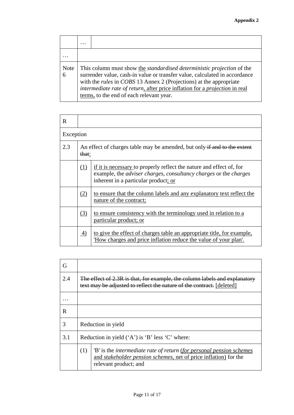|           | $\cdots$                                                                                                                                                                                                                                                                                                                                                            |
|-----------|---------------------------------------------------------------------------------------------------------------------------------------------------------------------------------------------------------------------------------------------------------------------------------------------------------------------------------------------------------------------|
|           |                                                                                                                                                                                                                                                                                                                                                                     |
| Note<br>6 | This column must show the <i>standardised deterministic projection</i> of the<br>surrender value, cash-in value or transfer value, calculated in accordance<br>with the <i>rules</i> in COBS 13 Annex 2 (Projections) at the appropriate<br>intermediate rate of return, after price inflation for a projection in real<br>terms, to the end of each relevant year. |

| R         |                                                                                   |                                                                                                                                                                                                |  |
|-----------|-----------------------------------------------------------------------------------|------------------------------------------------------------------------------------------------------------------------------------------------------------------------------------------------|--|
| Exception |                                                                                   |                                                                                                                                                                                                |  |
| 2.3       | An effect of charges table may be amended, but only if and to the extent<br>that: |                                                                                                                                                                                                |  |
|           | (1)                                                                               | if it is necessary to properly reflect the nature and effect of, for<br>example, the <i>adviser charges, consultancy charges</i> or the <i>charges</i><br>inherent in a particular product; or |  |
|           | (2)                                                                               | to ensure that the column labels and any explanatory text reflect the<br>nature of the contract;                                                                                               |  |
|           | (3)                                                                               | to ensure consistency with the terminology used in relation to a<br>particular product; or                                                                                                     |  |
|           | 4)                                                                                | to give the effect of charges table an appropriate title, for example,<br>'How charges and price inflation reduce the value of your plan'.                                                     |  |

| G   |                                                                                                                                                     |                                                                                                                                                                           |  |
|-----|-----------------------------------------------------------------------------------------------------------------------------------------------------|---------------------------------------------------------------------------------------------------------------------------------------------------------------------------|--|
| 2.4 | The effect of 2.3R is that, for example, the column labels and explanatory<br>text may be adjusted to reflect the nature of the contract. [deleted] |                                                                                                                                                                           |  |
|     |                                                                                                                                                     |                                                                                                                                                                           |  |
| R   |                                                                                                                                                     |                                                                                                                                                                           |  |
| 3   | Reduction in yield                                                                                                                                  |                                                                                                                                                                           |  |
| 3.1 | Reduction in yield $(A')$ is 'B' less 'C' where:                                                                                                    |                                                                                                                                                                           |  |
|     | (1)                                                                                                                                                 | 'B' is the intermediate rate of return (for personal pension schemes<br>and <i>stakeholder pension schemes</i> , net of price inflation) for the<br>relevant product; and |  |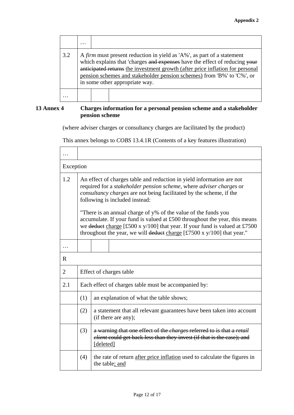|     | $\cdots$ |                                                                                                                                                                                                                                                                                                                                                   |
|-----|----------|---------------------------------------------------------------------------------------------------------------------------------------------------------------------------------------------------------------------------------------------------------------------------------------------------------------------------------------------------|
| 3.2 |          | A firm must present reduction in yield as 'A%', as part of a statement<br>which explains that 'charges and expenses have the effect of reducing your<br>anticipated returns the investment growth (after price inflation for personal<br>pension schemes and stakeholder pension schemes) from 'B%' to 'C%', or<br>in some other appropriate way. |
|     |          |                                                                                                                                                                                                                                                                                                                                                   |

### **13 Annex 4 Charges information for a personal pension scheme and a stakeholder pension scheme**

(where adviser charges or consultancy charges are facilitated by the product)

This annex belongs to *COBS* 13.4.1R (Contents of a key features illustration)

|                | Exception                                                                                                                                                                                                                                                                                               |                                                                                                                                                                                   |  |  |
|----------------|---------------------------------------------------------------------------------------------------------------------------------------------------------------------------------------------------------------------------------------------------------------------------------------------------------|-----------------------------------------------------------------------------------------------------------------------------------------------------------------------------------|--|--|
| 1.2            | An effect of charges table and reduction in yield information are not<br>required for a stakeholder pension scheme, where adviser charges or<br>consultancy charges are not being facilitated by the scheme, if the<br>following is included instead:                                                   |                                                                                                                                                                                   |  |  |
|                | "There is an annual charge of y% of the value of the funds you<br>accumulate. If your fund is valued at £500 throughout the year, this means<br>we deduct charge [£500 x y/100] that year. If your fund is valued at £7500<br>throughout the year, we will deduct charge [£7500 x $y/100$ ] that year." |                                                                                                                                                                                   |  |  |
|                |                                                                                                                                                                                                                                                                                                         |                                                                                                                                                                                   |  |  |
| R              |                                                                                                                                                                                                                                                                                                         |                                                                                                                                                                                   |  |  |
| $\overline{2}$ | Effect of charges table                                                                                                                                                                                                                                                                                 |                                                                                                                                                                                   |  |  |
| 2.1            | Each effect of charges table must be accompanied by:                                                                                                                                                                                                                                                    |                                                                                                                                                                                   |  |  |
|                | (1)<br>an explanation of what the table shows;                                                                                                                                                                                                                                                          |                                                                                                                                                                                   |  |  |
|                | (2)                                                                                                                                                                                                                                                                                                     | a statement that all relevant guarantees have been taken into account<br>(if there are any);                                                                                      |  |  |
|                | (3)                                                                                                                                                                                                                                                                                                     | a warning that one effect of the <i>charges</i> referred to is that a <i>retail</i><br><i>elient</i> could get back less than they invest (if that is the case); and<br>[deleted] |  |  |
|                | the rate of return after price inflation used to calculate the figures in<br>(4)<br>the table; and                                                                                                                                                                                                      |                                                                                                                                                                                   |  |  |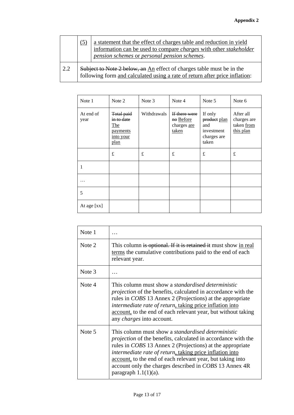|  |     | (5)                                                                                                                                                  | a statement that the effect of charges table and reduction in yield<br>information can be used to compare <i>charges</i> with other <i>stakeholder</i><br>pension schemes or personal pension schemes. |
|--|-----|------------------------------------------------------------------------------------------------------------------------------------------------------|--------------------------------------------------------------------------------------------------------------------------------------------------------------------------------------------------------|
|  | 2.2 | Subject to Note 2 below, an An effect of charges table must be in the<br>following form and calculated using a rate of return after price inflation: |                                                                                                                                                                                                        |

| Note 1<br>Note 2  |                                                                                       | Note 3      | Note 4                                             | Note 5                                                               | Note 6                                              |
|-------------------|---------------------------------------------------------------------------------------|-------------|----------------------------------------------------|----------------------------------------------------------------------|-----------------------------------------------------|
| At end of<br>year | <b>Total paid</b><br>in to date<br>The<br>payments<br><u>into your</u><br><u>plan</u> | Withdrawals | If there were<br>no Before<br>charges are<br>taken | If only<br>product plan<br>and<br>investment<br>charges are<br>taken | After all<br>charges are<br>taken from<br>this plan |
|                   | $\mathbf f$                                                                           | £           | £                                                  | $\pounds$                                                            | £                                                   |
| 1                 |                                                                                       |             |                                                    |                                                                      |                                                     |
| .                 |                                                                                       |             |                                                    |                                                                      |                                                     |
| 5                 |                                                                                       |             |                                                    |                                                                      |                                                     |
| At age [xx]       |                                                                                       |             |                                                    |                                                                      |                                                     |

| Note 1 |                                                                                                                                                                                                                                                                                                                                                                                                                      |
|--------|----------------------------------------------------------------------------------------------------------------------------------------------------------------------------------------------------------------------------------------------------------------------------------------------------------------------------------------------------------------------------------------------------------------------|
| Note 2 | This column is optional. If it is retained it must show in real<br>terms the cumulative contributions paid to the end of each<br>relevant year.                                                                                                                                                                                                                                                                      |
| Note 3 |                                                                                                                                                                                                                                                                                                                                                                                                                      |
| Note 4 | This column must show a <i>standardised deterministic</i><br><i>projection</i> of the benefits, calculated in accordance with the<br>rules in COBS 13 Annex 2 (Projections) at the appropriate<br>intermediate rate of return, taking price inflation into<br>account, to the end of each relevant year, but without taking<br>any <i>charges</i> into account.                                                      |
| Note 5 | This column must show a <i>standardised deterministic</i><br><i>projection</i> of the benefits, calculated in accordance with the<br>rules in <i>COBS</i> 13 Annex 2 (Projections) at the appropriate<br>intermediate rate of return, taking price inflation into<br>account, to the end of each relevant year, but taking into<br>account only the charges described in COBS 13 Annex 4R<br>paragraph $1.1(1)(a)$ . |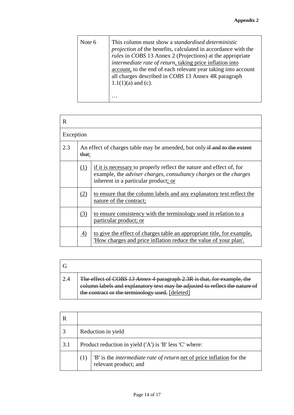| Note 6 | This column must show a <i>standardised deterministic</i><br>projection of the benefits, calculated in accordance with the<br>rules in COBS 13 Annex 2 (Projections) at the appropriate<br>intermediate rate of return, taking price inflation into<br>account, to the end of each relevant year taking into account<br>all charges described in COBS 13 Annex 4R paragraph<br>$1.1(1)(a)$ and (c).<br>. |
|--------|----------------------------------------------------------------------------------------------------------------------------------------------------------------------------------------------------------------------------------------------------------------------------------------------------------------------------------------------------------------------------------------------------------|
|--------|----------------------------------------------------------------------------------------------------------------------------------------------------------------------------------------------------------------------------------------------------------------------------------------------------------------------------------------------------------------------------------------------------------|

| $\mathbf R$ |                                                                                                                                                                                                       |                                                                                                                                            |  |  |  |
|-------------|-------------------------------------------------------------------------------------------------------------------------------------------------------------------------------------------------------|--------------------------------------------------------------------------------------------------------------------------------------------|--|--|--|
| Exception   |                                                                                                                                                                                                       |                                                                                                                                            |  |  |  |
| 2.3         | An effect of charges table may be amended, but only if and to the extent<br>that:                                                                                                                     |                                                                                                                                            |  |  |  |
|             | (1)<br>if it is necessary to properly reflect the nature and effect of, for<br>example, the <i>adviser charges, consultancy charges</i> or the <i>charges</i><br>inherent in a particular product; or |                                                                                                                                            |  |  |  |
|             | (2)                                                                                                                                                                                                   | to ensure that the column labels and any explanatory text reflect the<br>nature of the contract;                                           |  |  |  |
|             | (3)<br>to ensure consistency with the terminology used in relation to a<br>particular product; or                                                                                                     |                                                                                                                                            |  |  |  |
|             | 4)                                                                                                                                                                                                    | to give the effect of charges table an appropriate title, for example,<br>'How charges and price inflation reduce the value of your plan'. |  |  |  |

| The effect of COBS 13 Annex 4 paragraph 2.3R is that, for example, the<br>column labels and explanatory text may be adjusted to reflect the nature of<br>the contract or the terminology used. [deleted] |
|----------------------------------------------------------------------------------------------------------------------------------------------------------------------------------------------------------|

|     |                                                         | Reduction in yield                                                                                    |  |  |  |
|-----|---------------------------------------------------------|-------------------------------------------------------------------------------------------------------|--|--|--|
| 3.1 | Product reduction in yield ('A') is 'B' less 'C' where: |                                                                                                       |  |  |  |
|     | (1)                                                     | 'B' is the <i>intermediate rate of return</i> net of price inflation for the<br>relevant product; and |  |  |  |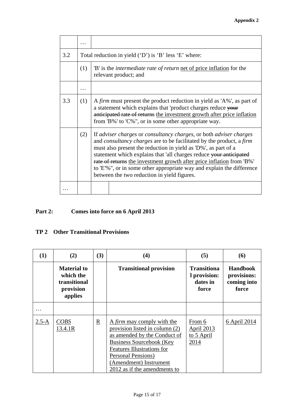| 3.2 | Total reduction in yield ('D') is 'B' less 'E' where: |                                                                                                                                                                                                                                                                                                                                                                                                                                                                                                   |  |  |  |  |
|-----|-------------------------------------------------------|---------------------------------------------------------------------------------------------------------------------------------------------------------------------------------------------------------------------------------------------------------------------------------------------------------------------------------------------------------------------------------------------------------------------------------------------------------------------------------------------------|--|--|--|--|
|     | (1)                                                   | 'B' is the <i>intermediate rate of return</i> net of price inflation for the<br>relevant product; and                                                                                                                                                                                                                                                                                                                                                                                             |  |  |  |  |
|     |                                                       |                                                                                                                                                                                                                                                                                                                                                                                                                                                                                                   |  |  |  |  |
| 3.3 | (1)                                                   | A firm must present the product reduction in yield as 'A%', as part of<br>a statement which explains that 'product charges reduce your<br>anticipated rate of returns the investment growth after price inflation<br>from 'B%' to 'C%", or in some other appropriate way.                                                                                                                                                                                                                         |  |  |  |  |
|     | (2)                                                   | If adviser charges or consultancy charges, or both adviser charges<br>and <i>consultancy charges</i> are to be facilitated by the product, a <i>firm</i><br>must also present the reduction in yield as 'D%', as part of a<br>statement which explains that 'all charges reduce your anticipated<br>rate of returns the investment growth after price inflation from 'B%'<br>to 'E'%", or in some other appropriate way and explain the difference<br>between the two reduction in yield figures. |  |  |  |  |
|     |                                                       |                                                                                                                                                                                                                                                                                                                                                                                                                                                                                                   |  |  |  |  |

## **Part 2: Comes into force on 6 April 2013**

## **TP 2 Other Transitional Provisions**

| (1)       | (2)                                                                     | (3) | (4)                                                                                                                                                                                                                                                  | (5)                                                            | <b>(6)</b>                                             |
|-----------|-------------------------------------------------------------------------|-----|------------------------------------------------------------------------------------------------------------------------------------------------------------------------------------------------------------------------------------------------------|----------------------------------------------------------------|--------------------------------------------------------|
|           | <b>Material to</b><br>which the<br>transitional<br>provision<br>applies |     | <b>Transitional provision</b>                                                                                                                                                                                                                        | <b>Transitiona</b><br><i>l</i> provision:<br>dates in<br>force | <b>Handbook</b><br>provisions:<br>coming into<br>force |
|           |                                                                         |     |                                                                                                                                                                                                                                                      |                                                                |                                                        |
| $2.5 - A$ | <b>COBS</b><br>13.4.1R                                                  | R   | A <i>firm</i> may comply with the<br>provision listed in column (2)<br>as amended by the Conduct of<br><b>Business Sourcebook (Key</b><br>Features Illustrations for<br>Personal Pensions)<br>(Amendment) Instrument<br>2012 as if the amendments to | From 6<br>April 2013<br>to 5 April<br>2014                     | 6 April 2014                                           |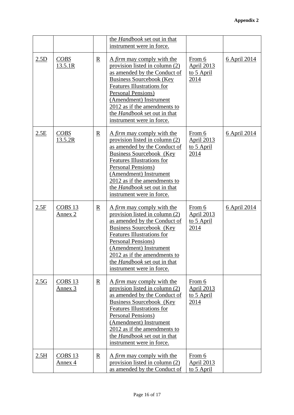|      |                              |                          | the Handbook set out in that<br>instrument were in force.                                                                                                                                                                                                                                                                |                                                   |                     |
|------|------------------------------|--------------------------|--------------------------------------------------------------------------------------------------------------------------------------------------------------------------------------------------------------------------------------------------------------------------------------------------------------------------|---------------------------------------------------|---------------------|
| 2.5D | $\overline{C}OBS$<br>13.5.1R | $\mathbf{R}$             | A <i>firm</i> may comply with the<br>provision listed in column (2)<br>as amended by the Conduct of<br><b>Business Sourcebook (Key</b><br><b>Features Illustrations for</b><br>Personal Pensions)<br>(Amendment) Instrument<br>2012 as if the amendments to<br>the Handbook set out in that<br>instrument were in force. | From 6<br><b>April 2013</b><br>to 5 April<br>2014 | <u>6 April 2014</u> |
| 2.5E | <b>COBS</b><br>13.5.2R       | $\overline{\mathbf{R}}$  | A firm may comply with the<br>provision listed in column (2)<br>as amended by the Conduct of<br>Business Sourcebook (Key<br><b>Features Illustrations for</b><br>Personal Pensions)<br>(Amendment) Instrument<br>2012 as if the amendments to<br>the Handbook set out in that<br>instrument were in force.               | From 6<br><b>April 2013</b><br>to 5 April<br>2014 | <u>6 April 2014</u> |
| 2.5F | $CORS$ 13<br>Annex 2         | $\underline{\mathbf{R}}$ | A firm may comply with the<br>provision listed in column (2)<br>as amended by the Conduct of<br><b>Business Sourcebook</b> (Key<br><b>Features Illustrations for</b><br>Personal Pensions)<br>(Amendment) Instrument<br>2012 as if the amendments to<br>the <i>Handbook</i> set out in that<br>instrument were in force. | From 6<br><b>April 2013</b><br>to 5 April<br>2014 | <u>6 April 2014</u> |
| 2.5G | $CORS$ 13<br>Annex 3         | $\underline{\mathbf{R}}$ | A firm may comply with the<br>provision listed in column (2)<br>as amended by the Conduct of<br>Business Sourcebook (Key<br><b>Features Illustrations for</b><br>Personal Pensions)<br>(Amendment) Instrument<br>2012 as if the amendments to<br>the <i>Handbook</i> set out in that<br>instrument were in force.        | From 6<br><b>April 2013</b><br>to 5 April<br>2014 |                     |
| 2.5H | $CORS$ 13<br>Annex 4         | $\underline{R}$          | A firm may comply with the<br>provision listed in column (2)<br>as amended by the Conduct of                                                                                                                                                                                                                             | From 6<br><b>April 2013</b><br>to 5 April         |                     |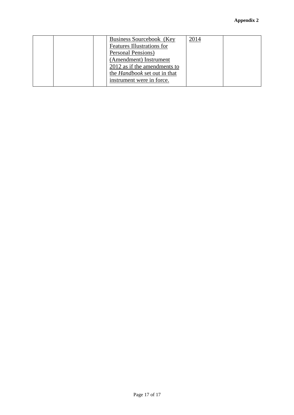| Business Sourcebook (Key            | 2014 |  |
|-------------------------------------|------|--|
| Features Illustrations for          |      |  |
| Personal Pensions)                  |      |  |
| (Amendment) Instrument              |      |  |
| 2012 as if the amendments to        |      |  |
| the <i>Handbook</i> set out in that |      |  |
| instrument were in force.           |      |  |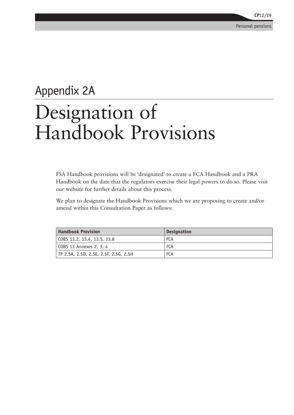## Appendix 2A Designation of Handbook Provisions

FSA Handbook provisions will be 'designated' to create a FCA Handbook and a PRA Handbook on the date that the regulators exercise their legal powers to do so. Please visit our website for further details about this process.

We plan to designate the Handbook Provisions which we are proposing to create and/or amend within this Consultation Paper as follows:

| <b>Handbook Provision</b>             | <b>Designation</b> |
|---------------------------------------|--------------------|
| COBS 13.2, 13.4, 13.5, 13.6           | <b>FCA</b>         |
| COBS 13 Annexes 2, 3, 4               | <b>FCA</b>         |
| TP 2.5A, 2.5D, 2.5E, 2.5F, 2.5G, 2.5H | <b>FCA</b>         |